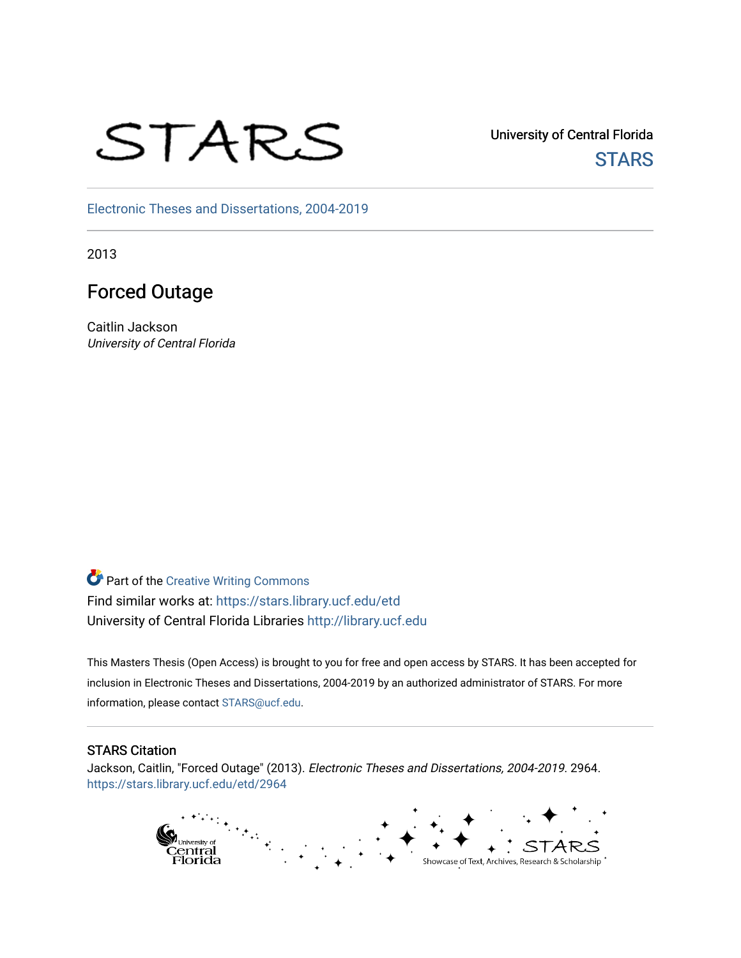# STARS

University of Central Florida **STARS** 

[Electronic Theses and Dissertations, 2004-2019](https://stars.library.ucf.edu/etd) 

2013

# Forced Outage

Caitlin Jackson University of Central Florida

**Part of the Creative Writing Commons** Find similar works at: <https://stars.library.ucf.edu/etd> University of Central Florida Libraries [http://library.ucf.edu](http://library.ucf.edu/) 

This Masters Thesis (Open Access) is brought to you for free and open access by STARS. It has been accepted for inclusion in Electronic Theses and Dissertations, 2004-2019 by an authorized administrator of STARS. For more information, please contact [STARS@ucf.edu.](mailto:STARS@ucf.edu)

#### STARS Citation

Jackson, Caitlin, "Forced Outage" (2013). Electronic Theses and Dissertations, 2004-2019. 2964. [https://stars.library.ucf.edu/etd/2964](https://stars.library.ucf.edu/etd/2964?utm_source=stars.library.ucf.edu%2Fetd%2F2964&utm_medium=PDF&utm_campaign=PDFCoverPages) 

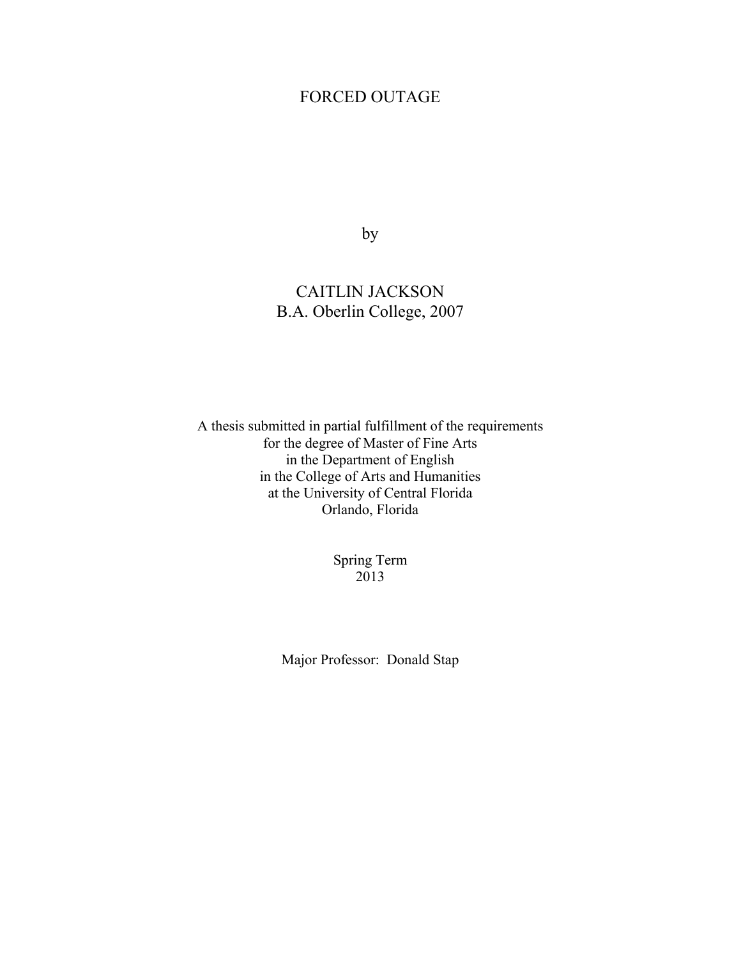# FORCED OUTAGE

by

# CAITLIN JACKSON B.A. Oberlin College, 2007

A thesis submitted in partial fulfillment of the requirements for the degree of Master of Fine Arts in the Department of English in the College of Arts and Humanities at the University of Central Florida Orlando, Florida

> Spring Term 2013

Major Professor: Donald Stap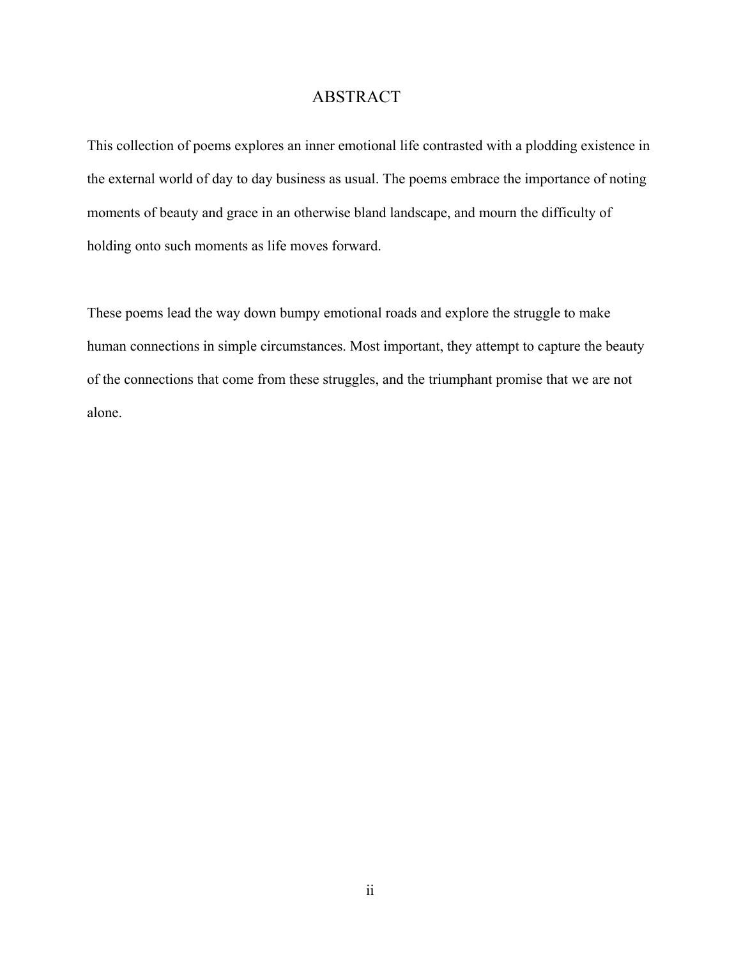# ABSTRACT

This collection of poems explores an inner emotional life contrasted with a plodding existence in the external world of day to day business as usual. The poems embrace the importance of noting moments of beauty and grace in an otherwise bland landscape, and mourn the difficulty of holding onto such moments as life moves forward.

These poems lead the way down bumpy emotional roads and explore the struggle to make human connections in simple circumstances. Most important, they attempt to capture the beauty of the connections that come from these struggles, and the triumphant promise that we are not alone.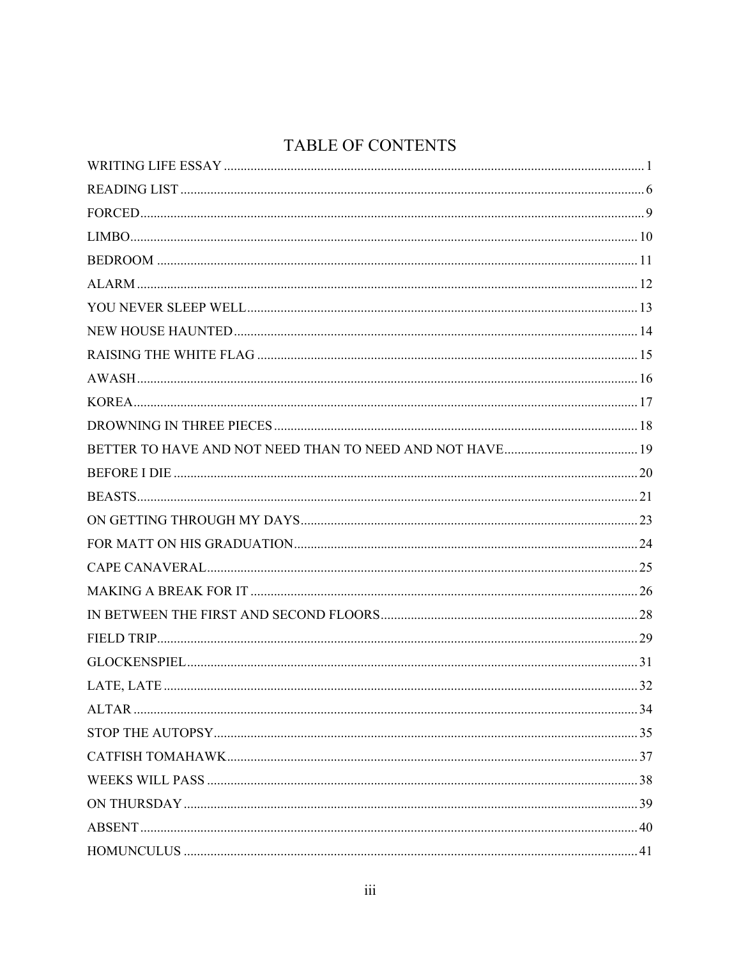# TABLE OF CONTENTS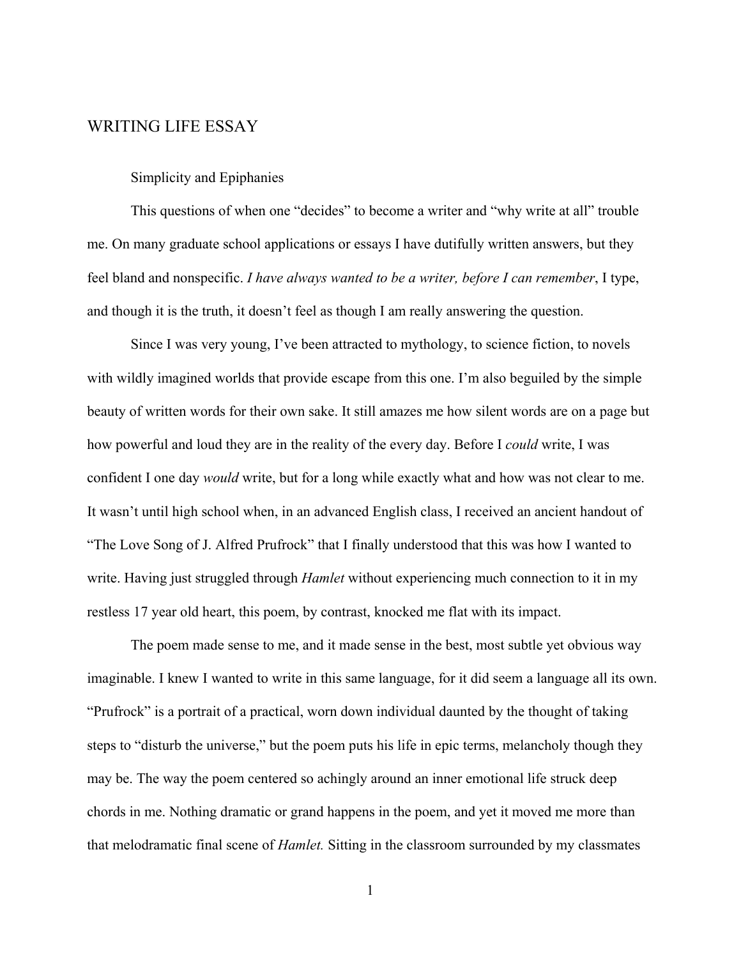#### <span id="page-5-0"></span>WRITING LIFE ESSAY

#### Simplicity and Epiphanies

This questions of when one "decides" to become a writer and "why write at all" trouble me. On many graduate school applications or essays I have dutifully written answers, but they feel bland and nonspecific. *I have always wanted to be a writer, before I can remember*, I type, and though it is the truth, it doesn't feel as though I am really answering the question.

Since I was very young, I've been attracted to mythology, to science fiction, to novels with wildly imagined worlds that provide escape from this one. I'm also beguiled by the simple beauty of written words for their own sake. It still amazes me how silent words are on a page but how powerful and loud they are in the reality of the every day. Before I *could* write, I was confident I one day *would* write, but for a long while exactly what and how was not clear to me. It wasn't until high school when, in an advanced English class, I received an ancient handout of "The Love Song of J. Alfred Prufrock" that I finally understood that this was how I wanted to write. Having just struggled through *Hamlet* without experiencing much connection to it in my restless 17 year old heart, this poem, by contrast, knocked me flat with its impact.

The poem made sense to me, and it made sense in the best, most subtle yet obvious way imaginable. I knew I wanted to write in this same language, for it did seem a language all its own. "Prufrock" is a portrait of a practical, worn down individual daunted by the thought of taking steps to "disturb the universe," but the poem puts his life in epic terms, melancholy though they may be. The way the poem centered so achingly around an inner emotional life struck deep chords in me. Nothing dramatic or grand happens in the poem, and yet it moved me more than that melodramatic final scene of *Hamlet.* Sitting in the classroom surrounded by my classmates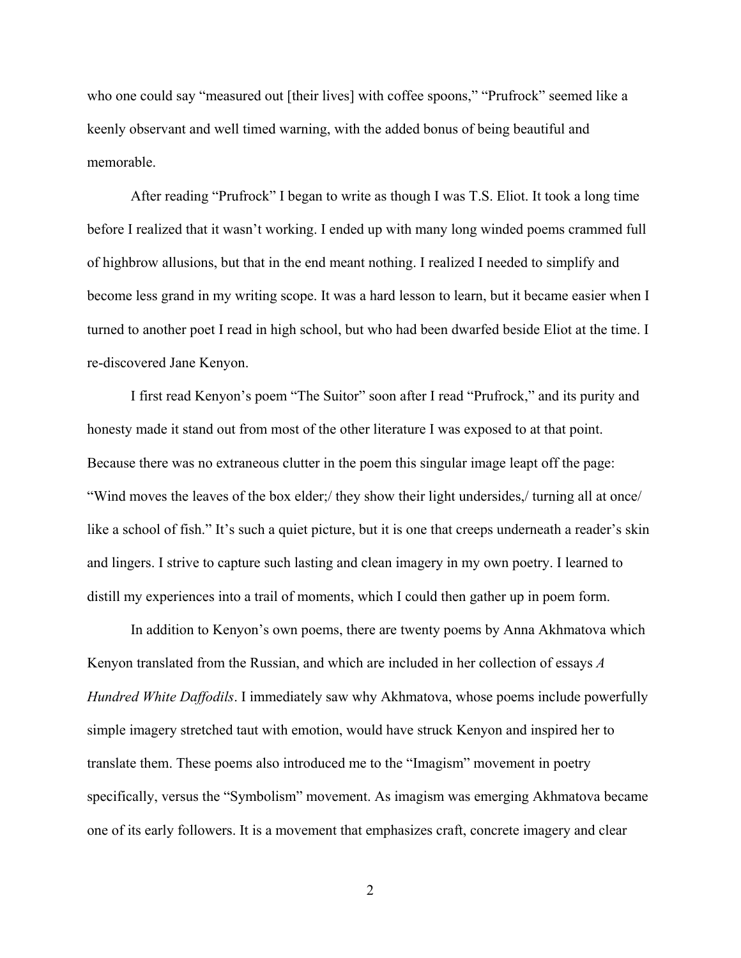who one could say "measured out [their lives] with coffee spoons," "Prufrock" seemed like a keenly observant and well timed warning, with the added bonus of being beautiful and memorable.

After reading "Prufrock" I began to write as though I was T.S. Eliot. It took a long time before I realized that it wasn't working. I ended up with many long winded poems crammed full of highbrow allusions, but that in the end meant nothing. I realized I needed to simplify and become less grand in my writing scope. It was a hard lesson to learn, but it became easier when I turned to another poet I read in high school, but who had been dwarfed beside Eliot at the time. I re-discovered Jane Kenyon.

I first read Kenyon's poem "The Suitor" soon after I read "Prufrock," and its purity and honesty made it stand out from most of the other literature I was exposed to at that point. Because there was no extraneous clutter in the poem this singular image leapt off the page: "Wind moves the leaves of the box elder;/ they show their light undersides,/ turning all at once/ like a school of fish." It's such a quiet picture, but it is one that creeps underneath a reader's skin and lingers. I strive to capture such lasting and clean imagery in my own poetry. I learned to distill my experiences into a trail of moments, which I could then gather up in poem form.

In addition to Kenyon's own poems, there are twenty poems by Anna Akhmatova which Kenyon translated from the Russian, and which are included in her collection of essays *A Hundred White Daffodils*. I immediately saw why Akhmatova, whose poems include powerfully simple imagery stretched taut with emotion, would have struck Kenyon and inspired her to translate them. These poems also introduced me to the "Imagism" movement in poetry specifically, versus the "Symbolism" movement. As imagism was emerging Akhmatova became one of its early followers. It is a movement that emphasizes craft, concrete imagery and clear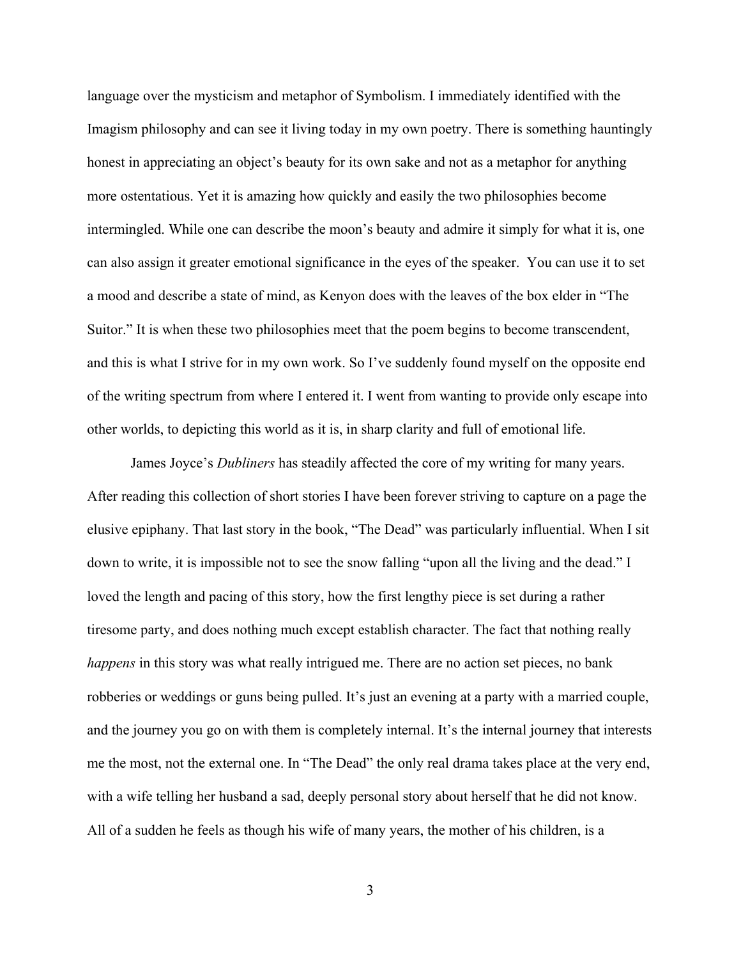language over the mysticism and metaphor of Symbolism. I immediately identified with the Imagism philosophy and can see it living today in my own poetry. There is something hauntingly honest in appreciating an object's beauty for its own sake and not as a metaphor for anything more ostentatious. Yet it is amazing how quickly and easily the two philosophies become intermingled. While one can describe the moon's beauty and admire it simply for what it is, one can also assign it greater emotional significance in the eyes of the speaker. You can use it to set a mood and describe a state of mind, as Kenyon does with the leaves of the box elder in "The Suitor." It is when these two philosophies meet that the poem begins to become transcendent, and this is what I strive for in my own work. So I've suddenly found myself on the opposite end of the writing spectrum from where I entered it. I went from wanting to provide only escape into other worlds, to depicting this world as it is, in sharp clarity and full of emotional life.

James Joyce's *Dubliners* has steadily affected the core of my writing for many years. After reading this collection of short stories I have been forever striving to capture on a page the elusive epiphany. That last story in the book, "The Dead" was particularly influential. When I sit down to write, it is impossible not to see the snow falling "upon all the living and the dead." I loved the length and pacing of this story, how the first lengthy piece is set during a rather tiresome party, and does nothing much except establish character. The fact that nothing really *happens* in this story was what really intrigued me. There are no action set pieces, no bank robberies or weddings or guns being pulled. It's just an evening at a party with a married couple, and the journey you go on with them is completely internal. It's the internal journey that interests me the most, not the external one. In "The Dead" the only real drama takes place at the very end, with a wife telling her husband a sad, deeply personal story about herself that he did not know. All of a sudden he feels as though his wife of many years, the mother of his children, is a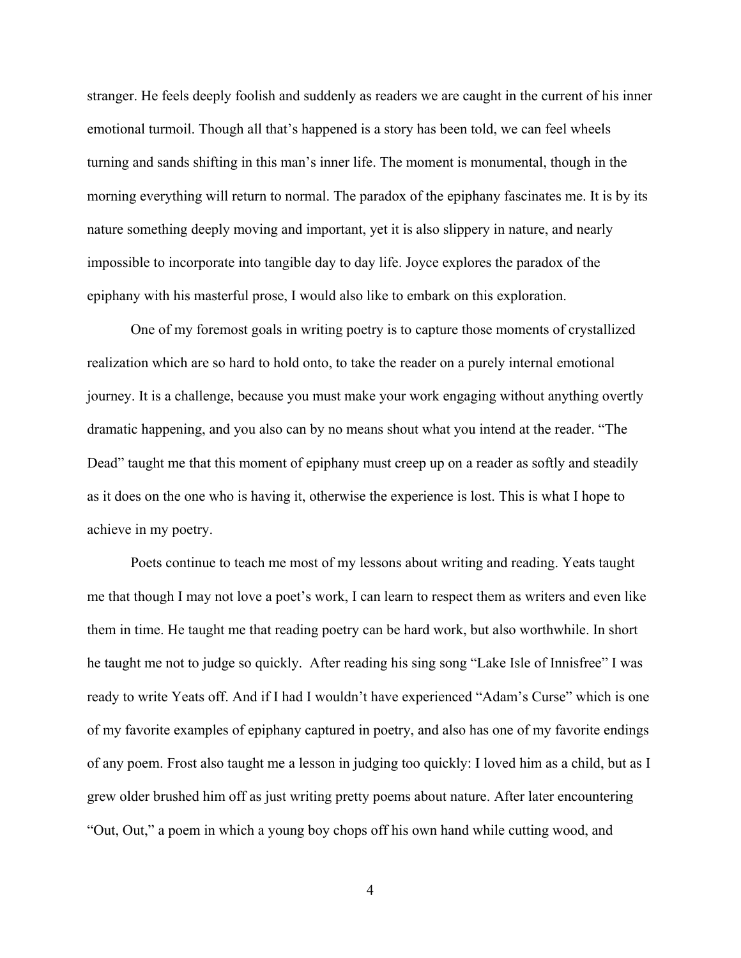stranger. He feels deeply foolish and suddenly as readers we are caught in the current of his inner emotional turmoil. Though all that's happened is a story has been told, we can feel wheels turning and sands shifting in this man's inner life. The moment is monumental, though in the morning everything will return to normal. The paradox of the epiphany fascinates me. It is by its nature something deeply moving and important, yet it is also slippery in nature, and nearly impossible to incorporate into tangible day to day life. Joyce explores the paradox of the epiphany with his masterful prose, I would also like to embark on this exploration.

One of my foremost goals in writing poetry is to capture those moments of crystallized realization which are so hard to hold onto, to take the reader on a purely internal emotional journey. It is a challenge, because you must make your work engaging without anything overtly dramatic happening, and you also can by no means shout what you intend at the reader. "The Dead" taught me that this moment of epiphany must creep up on a reader as softly and steadily as it does on the one who is having it, otherwise the experience is lost. This is what I hope to achieve in my poetry.

Poets continue to teach me most of my lessons about writing and reading. Yeats taught me that though I may not love a poet's work, I can learn to respect them as writers and even like them in time. He taught me that reading poetry can be hard work, but also worthwhile. In short he taught me not to judge so quickly. After reading his sing song "Lake Isle of Innisfree" I was ready to write Yeats off. And if I had I wouldn't have experienced "Adam's Curse" which is one of my favorite examples of epiphany captured in poetry, and also has one of my favorite endings of any poem. Frost also taught me a lesson in judging too quickly: I loved him as a child, but as I grew older brushed him off as just writing pretty poems about nature. After later encountering "Out, Out," a poem in which a young boy chops off his own hand while cutting wood, and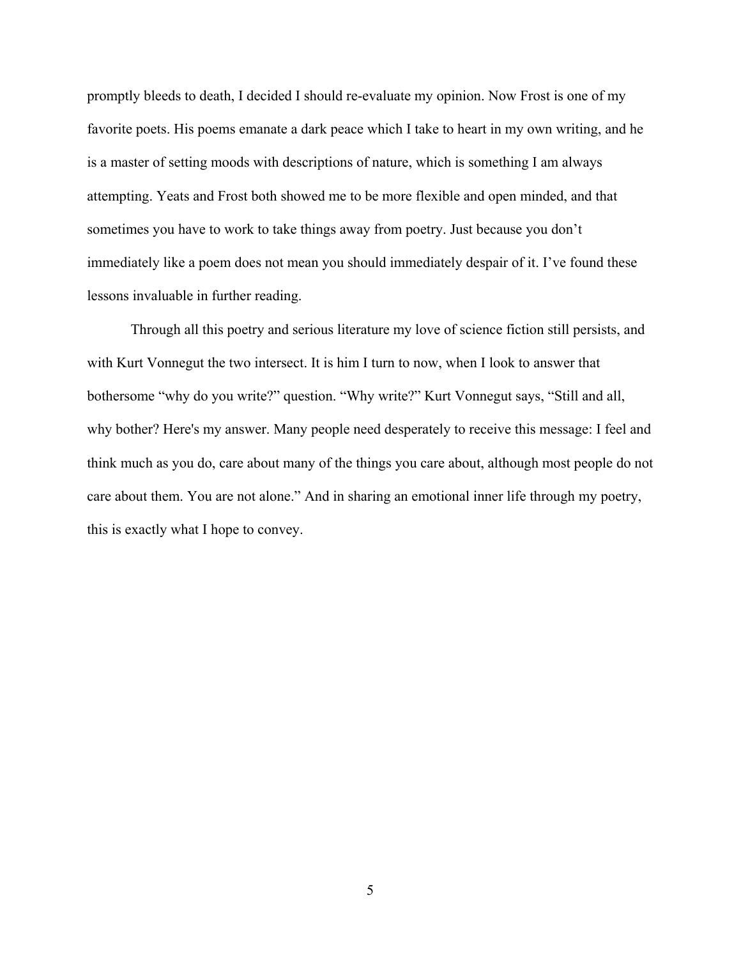promptly bleeds to death, I decided I should re-evaluate my opinion. Now Frost is one of my favorite poets. His poems emanate a dark peace which I take to heart in my own writing, and he is a master of setting moods with descriptions of nature, which is something I am always attempting. Yeats and Frost both showed me to be more flexible and open minded, and that sometimes you have to work to take things away from poetry. Just because you don't immediately like a poem does not mean you should immediately despair of it. I've found these lessons invaluable in further reading.

Through all this poetry and serious literature my love of science fiction still persists, and with Kurt Vonnegut the two intersect. It is him I turn to now, when I look to answer that bothersome "why do you write?" question. "Why write?" Kurt Vonnegut says, "Still and all, why bother? Here's my answer. Many people need desperately to receive this message: I feel and think much as you do, care about many of the things you care about, although most people do not care about them. You are not alone." And in sharing an emotional inner life through my poetry, this is exactly what I hope to convey.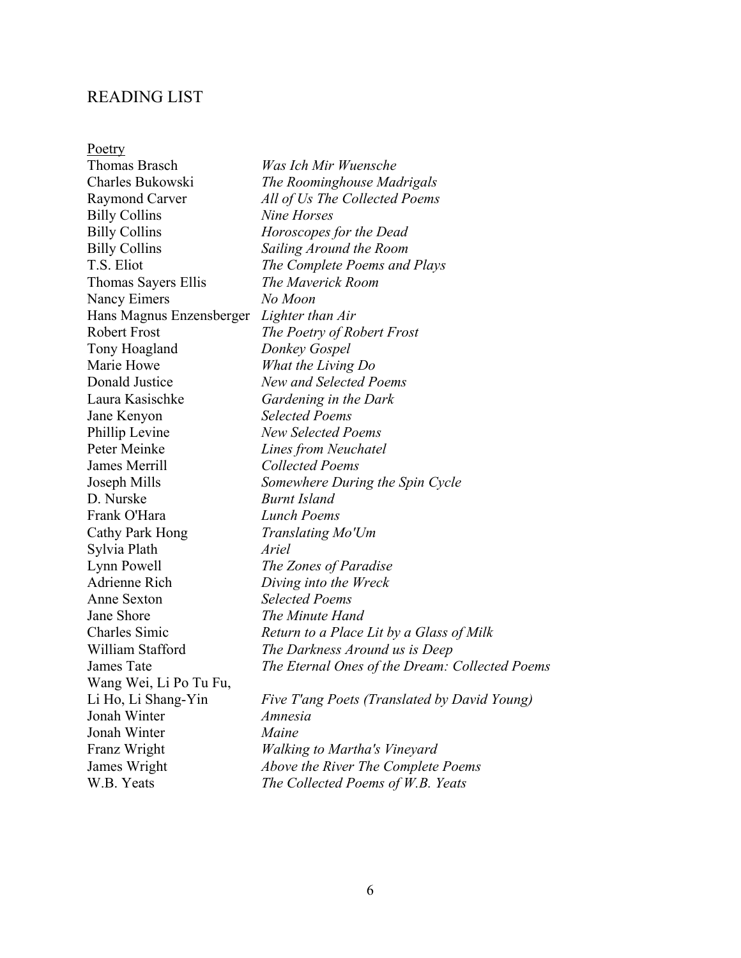#### <span id="page-10-0"></span>READING LIST

Poetry Thomas Brasch *Was Ich Mir Wuensche* Charles Bukowski *The Roominghouse Madrigals* Raymond Carver *All of Us The Collected Poems* Billy Collins *Nine Horses*  Billy Collins *Horoscopes for the Dead*  Billy Collins *Sailing Around the Room*  T.S. Eliot *The Complete Poems and Plays*  Thomas Sayers Ellis *The Maverick Room*  Nancy Eimers *No Moon*  Hans Magnus Enzensberger *Lighter than Air*  Robert Frost *The Poetry of Robert Frost* Tony Hoagland *Donkey Gospel*  Marie Howe *What the Living Do*  Donald Justice *New and Selected Poems*  Laura Kasischke *Gardening in the Dark*  Jane Kenyon *Selected Poems*  Phillip Levine *New Selected Poems*  Peter Meinke *Lines from Neuchatel*  James Merrill *Collected Poems*  Joseph Mills *Somewhere During the Spin Cycle* D. Nurske *Burnt Island*  Frank O'Hara *Lunch Poems*  Cathy Park Hong *Translating Mo'Um*  Sylvia Plath *Ariel*  Lynn Powell *The Zones of Paradise*  Adrienne Rich *Diving into the Wreck*  Anne Sexton *Selected Poems* Jane Shore *The Minute Hand*  Charles Simic *Return to a Place Lit by a Glass of Milk*  William Stafford *The Darkness Around us is Deep*  James Tate *The Eternal Ones of the Dream: Collected Poems*  Wang Wei, Li Po Tu Fu, Li Ho, Li Shang-Yin *Five T'ang Poets (Translated by David Young)*  Jonah Winter *Amnesia*  Jonah Winter *Maine*  Franz Wright *Walking to Martha's Vineyard*  James Wright *Above the River The Complete Poems*  W.B. Yeats *The Collected Poems of W.B. Yeats*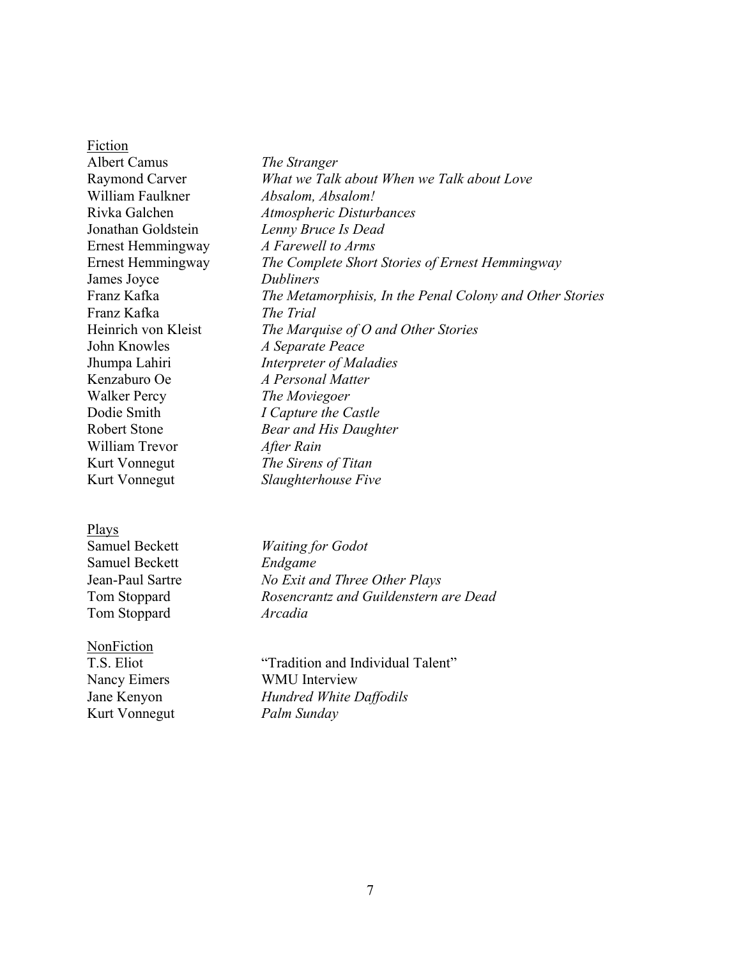Fiction Albert Camus *The Stranger*  Raymond Carver *What we Talk about When we Talk about Love*  William Faulkner *Absalom, Absalom!*  Rivka Galchen *Atmospheric Disturbances*  Jonathan Goldstein *Lenny Bruce Is Dead*  Ernest Hemmingway *A Farewell to Arms*  Ernest Hemmingway *The Complete Short Stories of Ernest Hemmingway*  James Joyce *Dubliners*  Franz Kafka *The Metamorphisis, In the Penal Colony and Other Stories*  Franz Kafka *The Trial*  Heinrich von Kleist *The Marquise of O and Other Stories*  John Knowles *A Separate Peace*  Jhumpa Lahiri *Interpreter of Maladies*  Kenzaburo Oe *A Personal Matter*  Walker Percy *The Moviegoer*  Dodie Smith *I Capture the Castle*  Robert Stone *Bear and His Daughter* William Trevor *After Rain*  Kurt Vonnegut *The Sirens of Titan*  Kurt Vonnegut *Slaughterhouse Five* 

#### Plays

Samuel Beckett *Waiting for Godot*  Samuel Beckett *Endgame*  Jean-Paul Sartre *No Exit and Three Other Plays*  Tom Stoppard *Rosencrantz and Guildenstern are Dead*  Tom Stoppard *Arcadia* 

#### NonFiction

Kurt Vonnegut *Palm Sunday*

T.S. Eliot "Tradition and Individual Talent" Nancy Eimers WMU Interview Jane Kenyon *Hundred White Daffodils*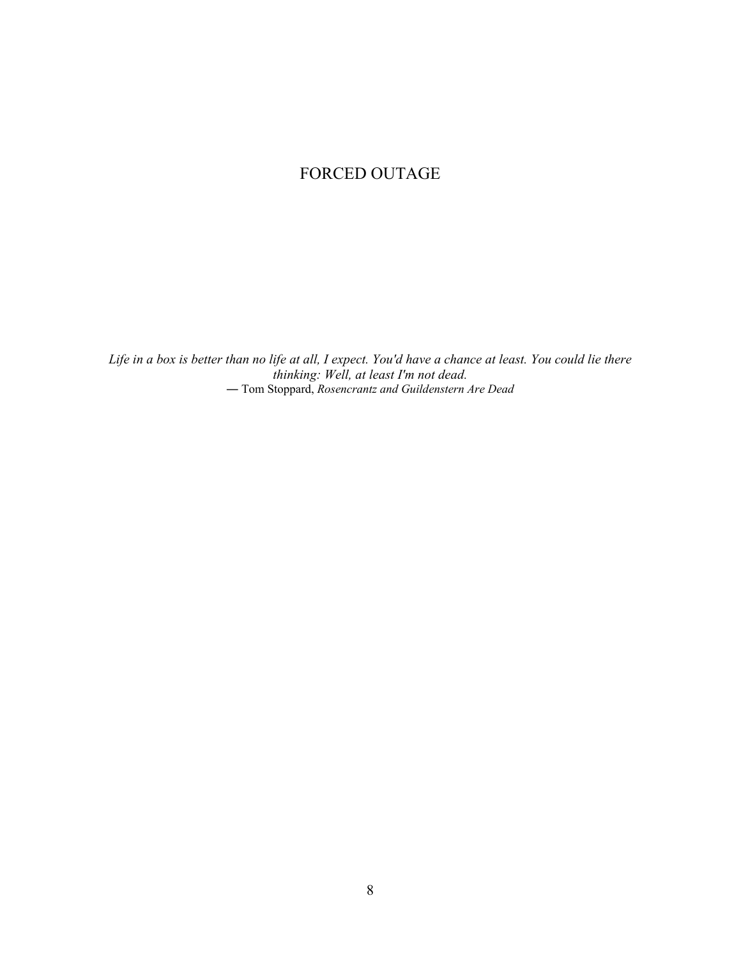# FORCED OUTAGE

*Life in a box is better than no life at all, I expect. You'd have a chance at least. You could lie there thinking: Well, at least I'm not dead.* ― Tom Stoppard, *Rosencrantz and Guildenstern Are Dead*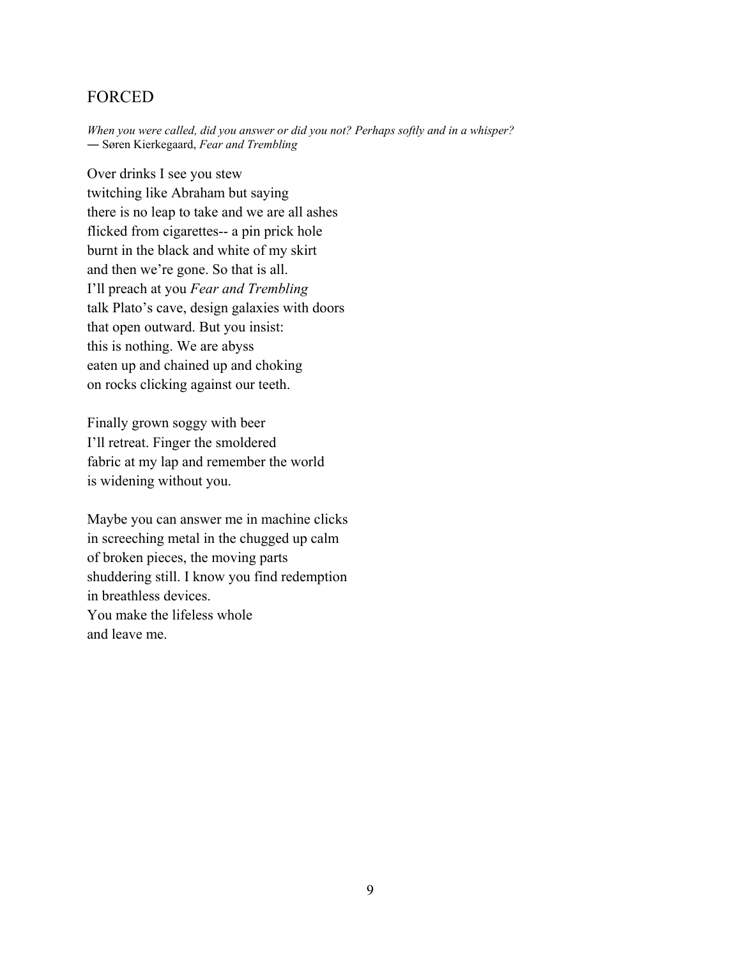## <span id="page-13-0"></span>FORCED

*When you were called, did you answer or did you not? Perhaps softly and in a whisper?*  ― Søren Kierkegaard, *Fear and Trembling* 

Over drinks I see you stew twitching like Abraham but saying there is no leap to take and we are all ashes flicked from cigarettes-- a pin prick hole burnt in the black and white of my skirt and then we're gone. So that is all. I'll preach at you *Fear and Trembling* talk Plato's cave, design galaxies with doors that open outward. But you insist: this is nothing. We are abyss eaten up and chained up and choking on rocks clicking against our teeth.

Finally grown soggy with beer I'll retreat. Finger the smoldered fabric at my lap and remember the world is widening without you.

Maybe you can answer me in machine clicks in screeching metal in the chugged up calm of broken pieces, the moving parts shuddering still. I know you find redemption in breathless devices. You make the lifeless whole and leave me.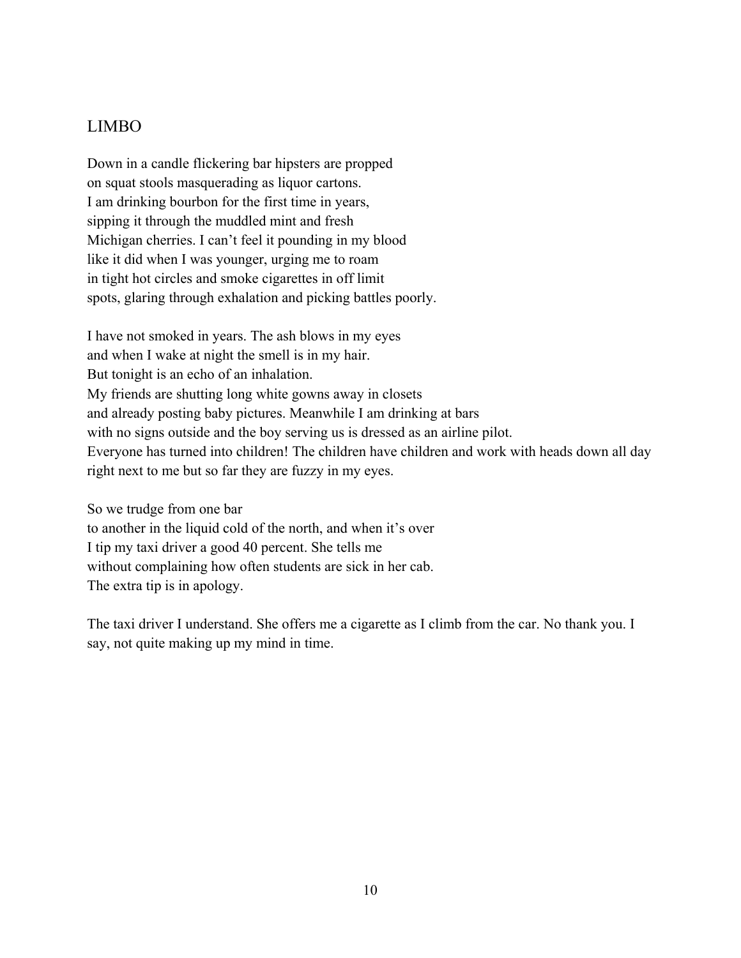# <span id="page-14-0"></span>LIMBO

Down in a candle flickering bar hipsters are propped on squat stools masquerading as liquor cartons. I am drinking bourbon for the first time in years, sipping it through the muddled mint and fresh Michigan cherries. I can't feel it pounding in my blood like it did when I was younger, urging me to roam in tight hot circles and smoke cigarettes in off limit spots, glaring through exhalation and picking battles poorly.

I have not smoked in years. The ash blows in my eyes and when I wake at night the smell is in my hair. But tonight is an echo of an inhalation. My friends are shutting long white gowns away in closets and already posting baby pictures. Meanwhile I am drinking at bars with no signs outside and the boy serving us is dressed as an airline pilot. Everyone has turned into children! The children have children and work with heads down all day right next to me but so far they are fuzzy in my eyes.

So we trudge from one bar to another in the liquid cold of the north, and when it's over I tip my taxi driver a good 40 percent. She tells me without complaining how often students are sick in her cab. The extra tip is in apology.

The taxi driver I understand. She offers me a cigarette as I climb from the car. No thank you. I say, not quite making up my mind in time.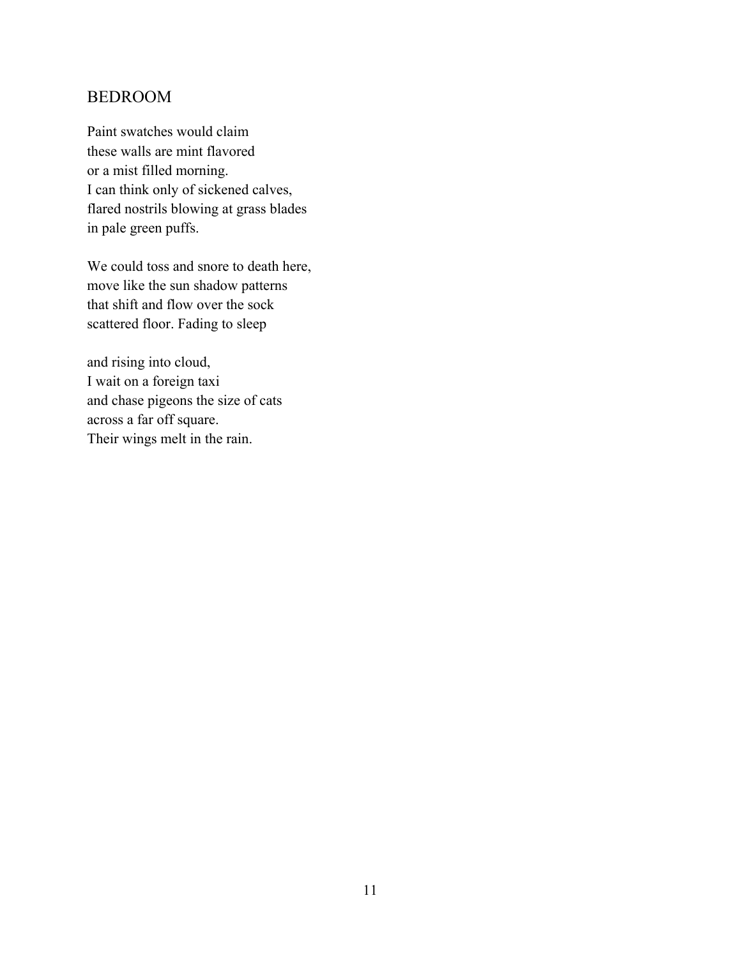# <span id="page-15-0"></span>BEDROOM

Paint swatches would claim these walls are mint flavored or a mist filled morning. I can think only of sickened calves, flared nostrils blowing at grass blades in pale green puffs.

We could toss and snore to death here, move like the sun shadow patterns that shift and flow over the sock scattered floor. Fading to sleep

and rising into cloud, I wait on a foreign taxi and chase pigeons the size of cats across a far off square. Their wings melt in the rain.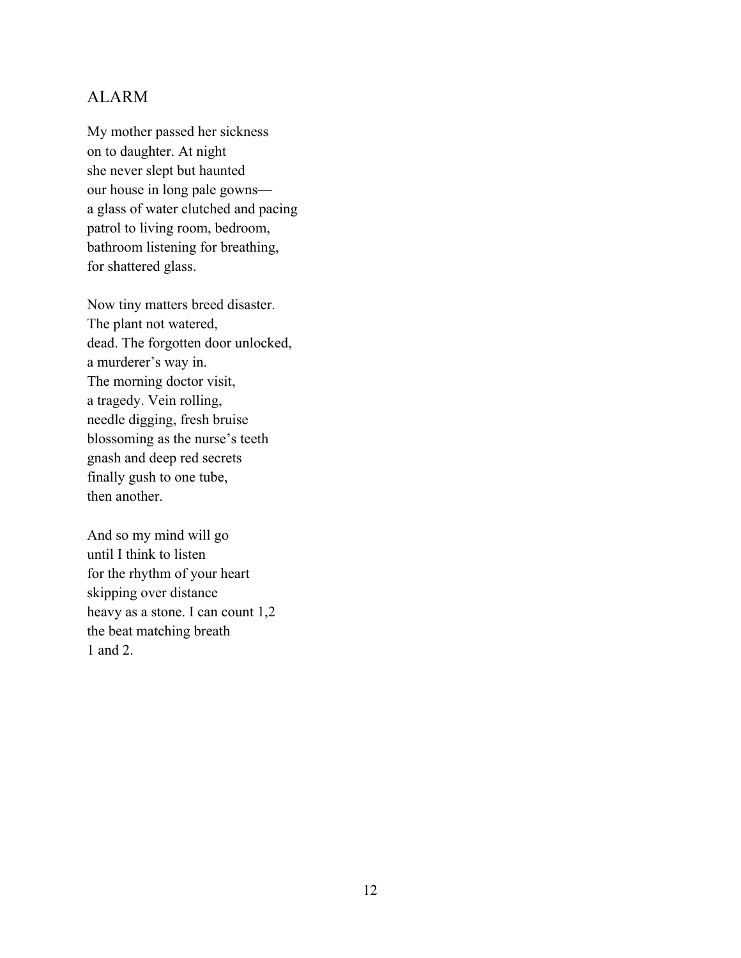## <span id="page-16-0"></span>ALARM

My mother passed her sickness on to daughter. At night she never slept but haunted our house in long pale gowns a glass of water clutched and pacing patrol to living room, bedroom, bathroom listening for breathing, for shattered glass.

Now tiny matters breed disaster. The plant not watered, dead. The forgotten door unlocked, a murderer's way in. The morning doctor visit, a tragedy. Vein rolling, needle digging, fresh bruise blossoming as the nurse's teeth gnash and deep red secrets finally gush to one tube, then another.

And so my mind will go until I think to listen for the rhythm of your heart skipping over distance heavy as a stone. I can count 1,2 the beat matching breath 1 and 2.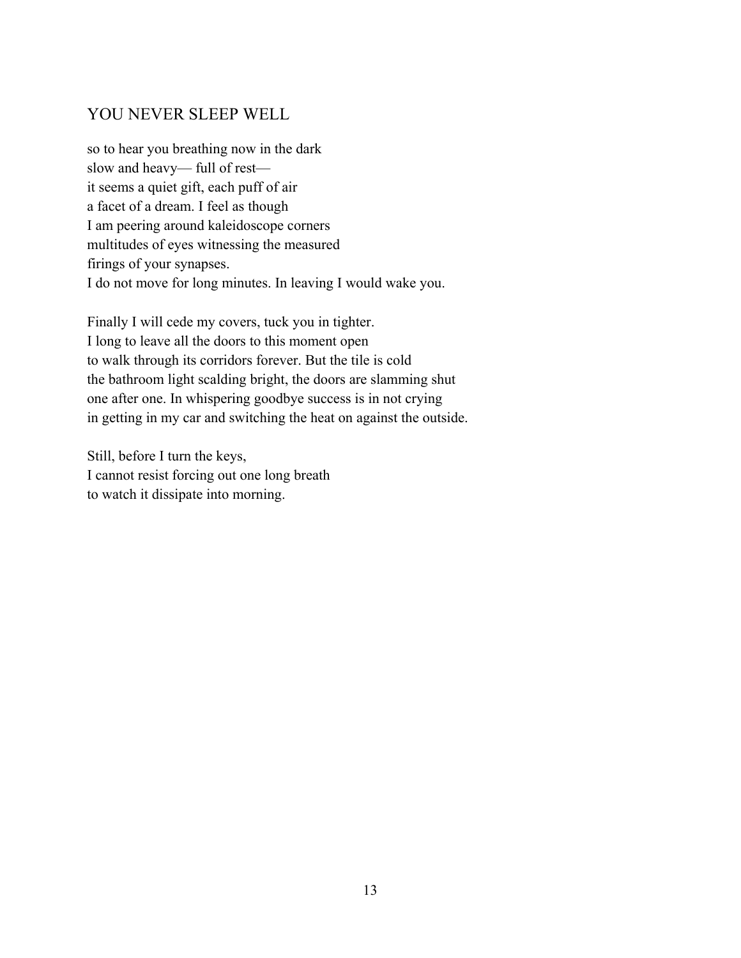# <span id="page-17-0"></span>YOU NEVER SLEEP WELL

so to hear you breathing now in the dark slow and heavy— full of rest it seems a quiet gift, each puff of air a facet of a dream. I feel as though I am peering around kaleidoscope corners multitudes of eyes witnessing the measured firings of your synapses. I do not move for long minutes. In leaving I would wake you.

Finally I will cede my covers, tuck you in tighter. I long to leave all the doors to this moment open to walk through its corridors forever. But the tile is cold the bathroom light scalding bright, the doors are slamming shut one after one. In whispering goodbye success is in not crying in getting in my car and switching the heat on against the outside.

Still, before I turn the keys, I cannot resist forcing out one long breath to watch it dissipate into morning.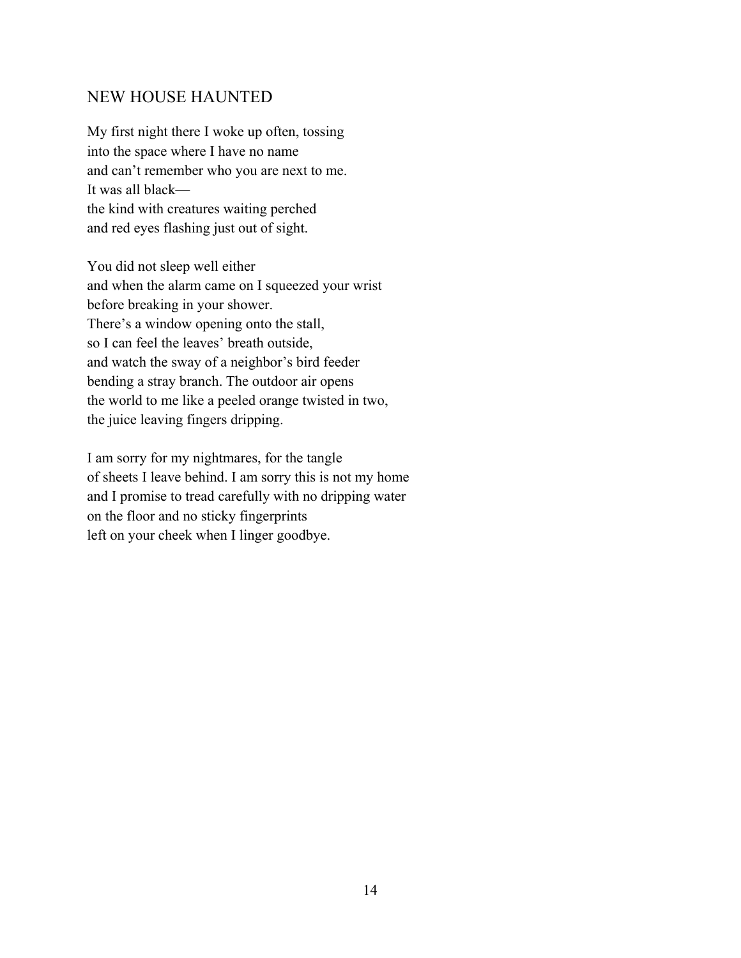## <span id="page-18-0"></span>NEW HOUSE HAUNTED

My first night there I woke up often, tossing into the space where I have no name and can't remember who you are next to me. It was all black the kind with creatures waiting perched and red eyes flashing just out of sight.

You did not sleep well either and when the alarm came on I squeezed your wrist before breaking in your shower. There's a window opening onto the stall, so I can feel the leaves' breath outside, and watch the sway of a neighbor's bird feeder bending a stray branch. The outdoor air opens the world to me like a peeled orange twisted in two, the juice leaving fingers dripping.

I am sorry for my nightmares, for the tangle of sheets I leave behind. I am sorry this is not my home and I promise to tread carefully with no dripping water on the floor and no sticky fingerprints left on your cheek when I linger goodbye.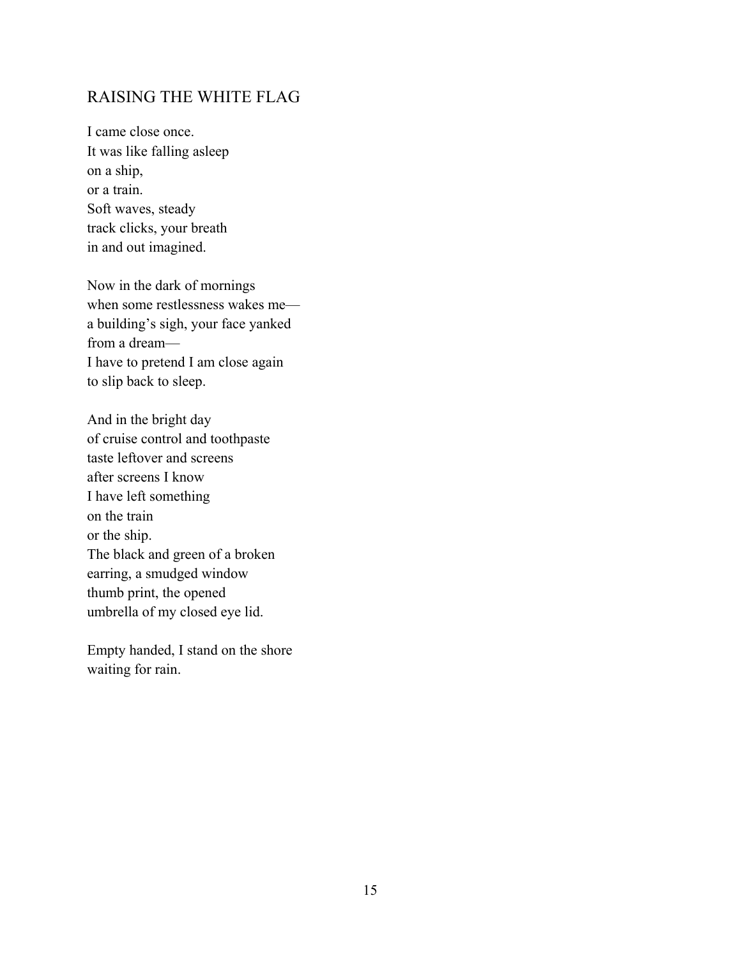## <span id="page-19-0"></span>RAISING THE WHITE FLAG

I came close once. It was like falling asleep on a ship, or a train. Soft waves, steady track clicks, your breath in and out imagined.

Now in the dark of mornings when some restlessness wakes me a building's sigh, your face yanked from a dream— I have to pretend I am close again to slip back to sleep.

And in the bright day of cruise control and toothpaste taste leftover and screens after screens I know I have left something on the train or the ship. The black and green of a broken earring, a smudged window thumb print, the opened umbrella of my closed eye lid.

Empty handed, I stand on the shore waiting for rain.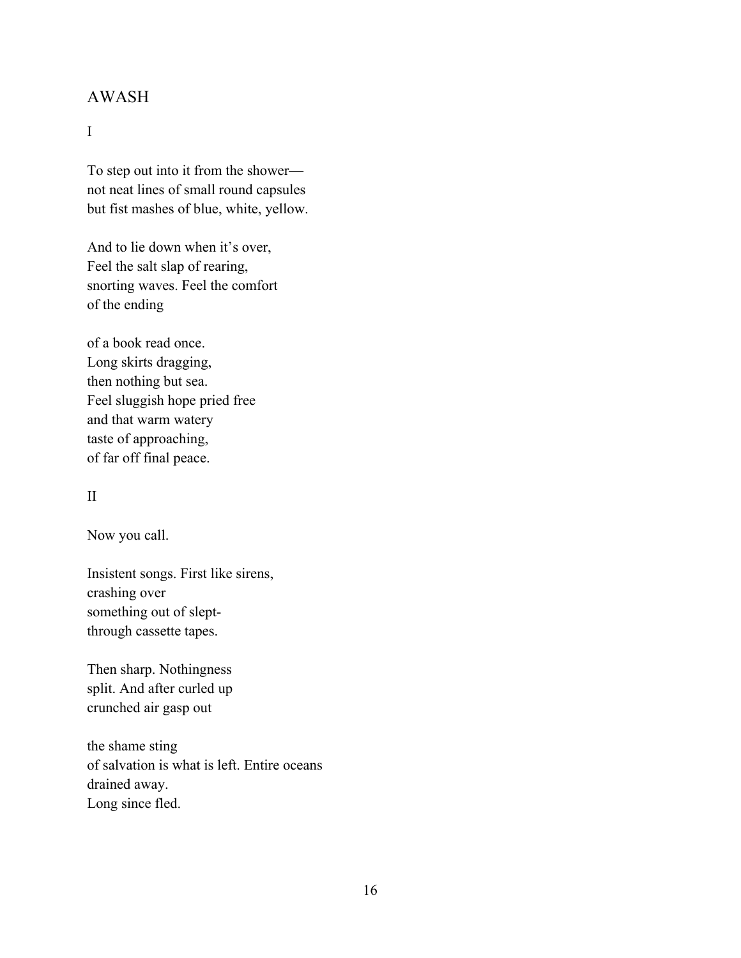## <span id="page-20-0"></span>AWASH

#### I

To step out into it from the shower not neat lines of small round capsules but fist mashes of blue, white, yellow.

And to lie down when it's over, Feel the salt slap of rearing, snorting waves. Feel the comfort of the ending

of a book read once. Long skirts dragging, then nothing but sea. Feel sluggish hope pried free and that warm watery taste of approaching, of far off final peace.

#### II

Now you call.

Insistent songs. First like sirens, crashing over something out of sleptthrough cassette tapes.

Then sharp. Nothingness split. And after curled up crunched air gasp out

the shame sting of salvation is what is left. Entire oceans drained away. Long since fled.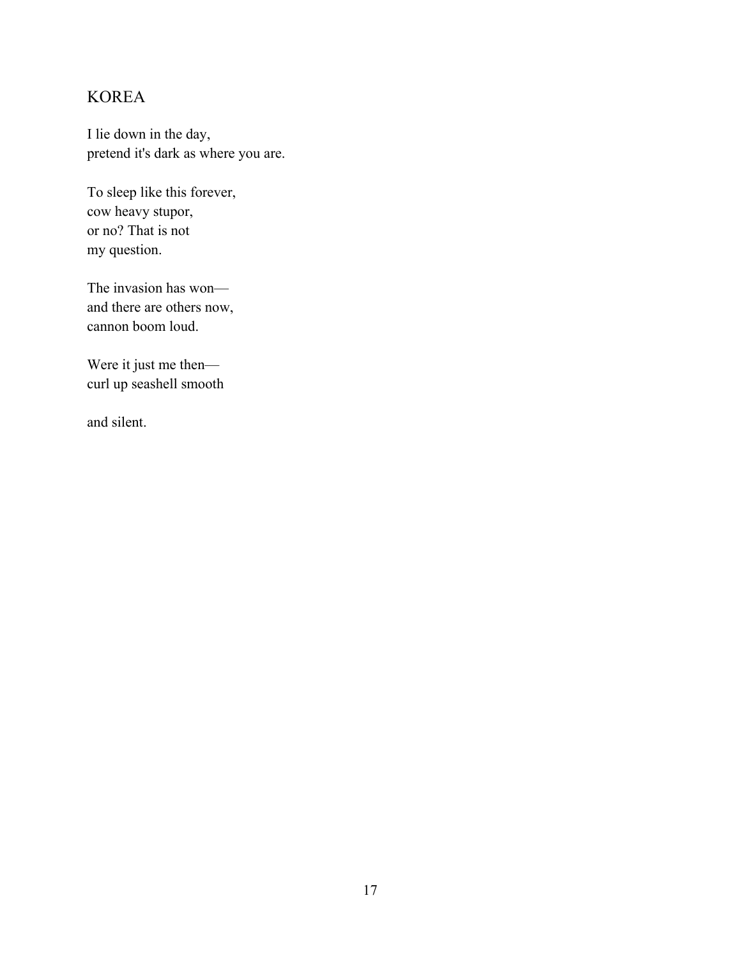# <span id="page-21-0"></span>KOREA

I lie down in the day, pretend it's dark as where you are.

To sleep like this forever, cow heavy stupor, or no? That is not my question.

The invasion has won and there are others now, cannon boom loud.

Were it just me then curl up seashell smooth

and silent.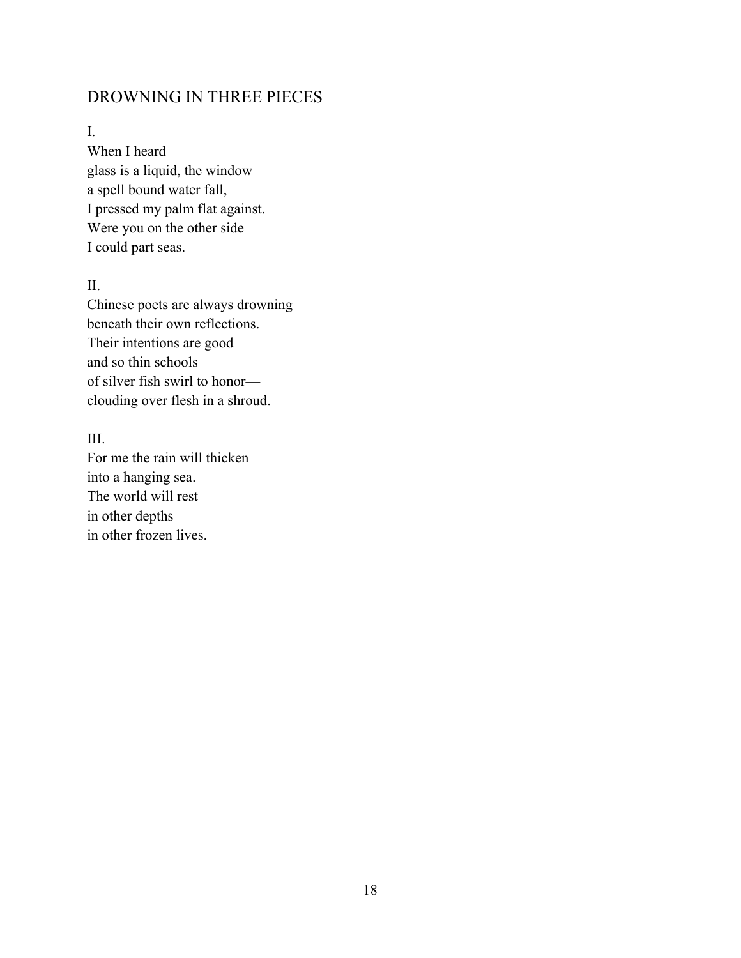# <span id="page-22-0"></span>DROWNING IN THREE PIECES

#### I.

When I heard glass is a liquid, the window a spell bound water fall, I pressed my palm flat against. Were you on the other side I could part seas.

#### II.

Chinese poets are always drowning beneath their own reflections. Their intentions are good and so thin schools of silver fish swirl to honor clouding over flesh in a shroud.

#### III.

For me the rain will thicken into a hanging sea. The world will rest in other depths in other frozen lives.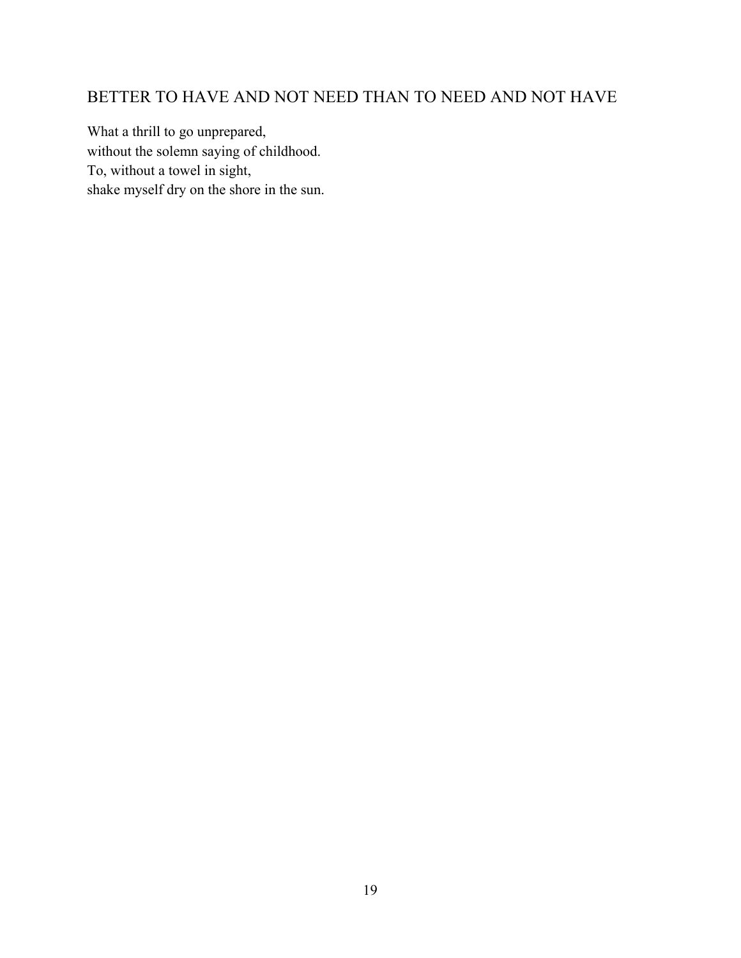# <span id="page-23-0"></span>BETTER TO HAVE AND NOT NEED THAN TO NEED AND NOT HAVE

What a thrill to go unprepared, without the solemn saying of childhood. To, without a towel in sight, shake myself dry on the shore in the sun.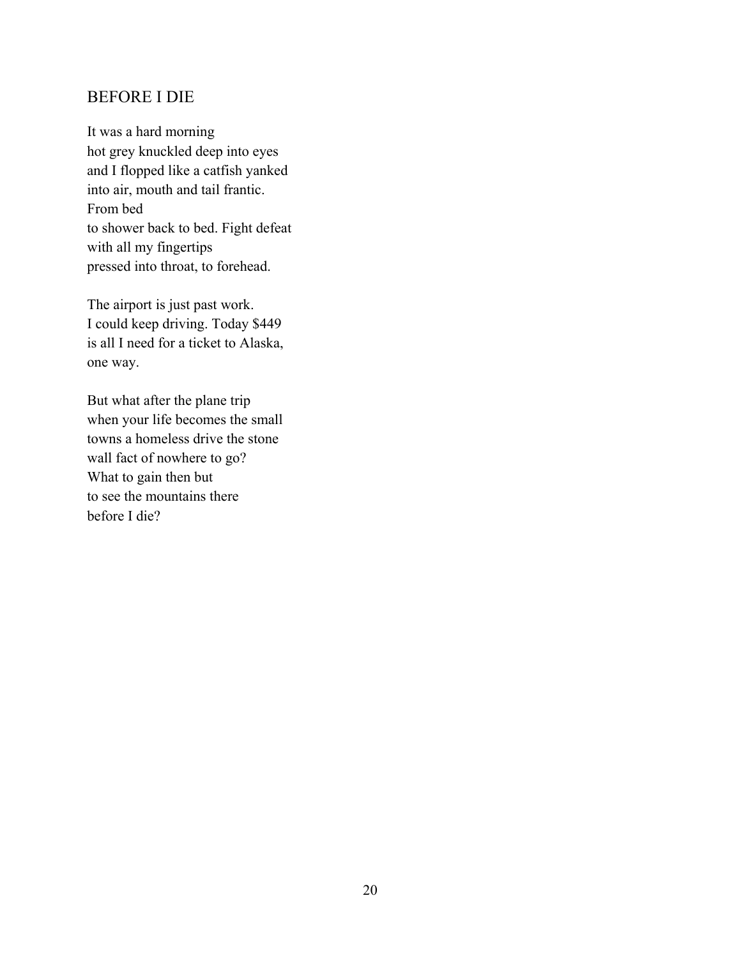## <span id="page-24-0"></span>BEFORE I DIE

It was a hard morning hot grey knuckled deep into eyes and I flopped like a catfish yanked into air, mouth and tail frantic. From bed to shower back to bed. Fight defeat with all my fingertips pressed into throat, to forehead.

The airport is just past work. I could keep driving. Today \$449 is all I need for a ticket to Alaska, one way.

But what after the plane trip when your life becomes the small towns a homeless drive the stone wall fact of nowhere to go? What to gain then but to see the mountains there before I die?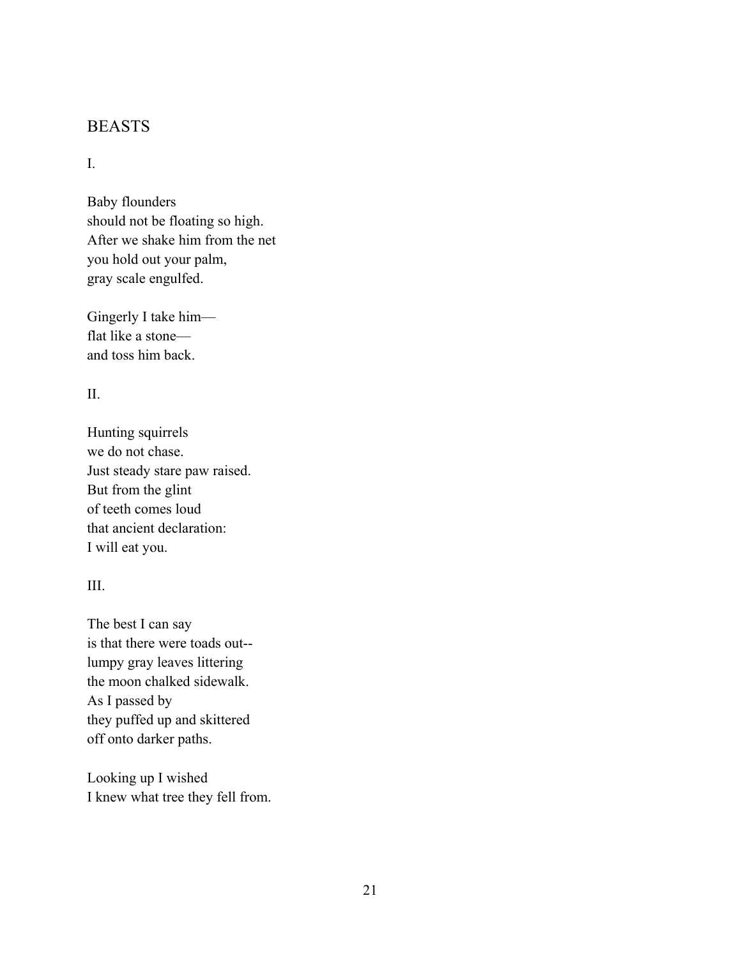## <span id="page-25-0"></span>BEASTS

#### I.

Baby flounders should not be floating so high. After we shake him from the net you hold out your palm, gray scale engulfed.

Gingerly I take him flat like a stone and toss him back.

#### II.

Hunting squirrels we do not chase. Just steady stare paw raised. But from the glint of teeth comes loud that ancient declaration: I will eat you.

#### III.

The best I can say is that there were toads out- lumpy gray leaves littering the moon chalked sidewalk. As I passed by they puffed up and skittered off onto darker paths.

Looking up I wished I knew what tree they fell from.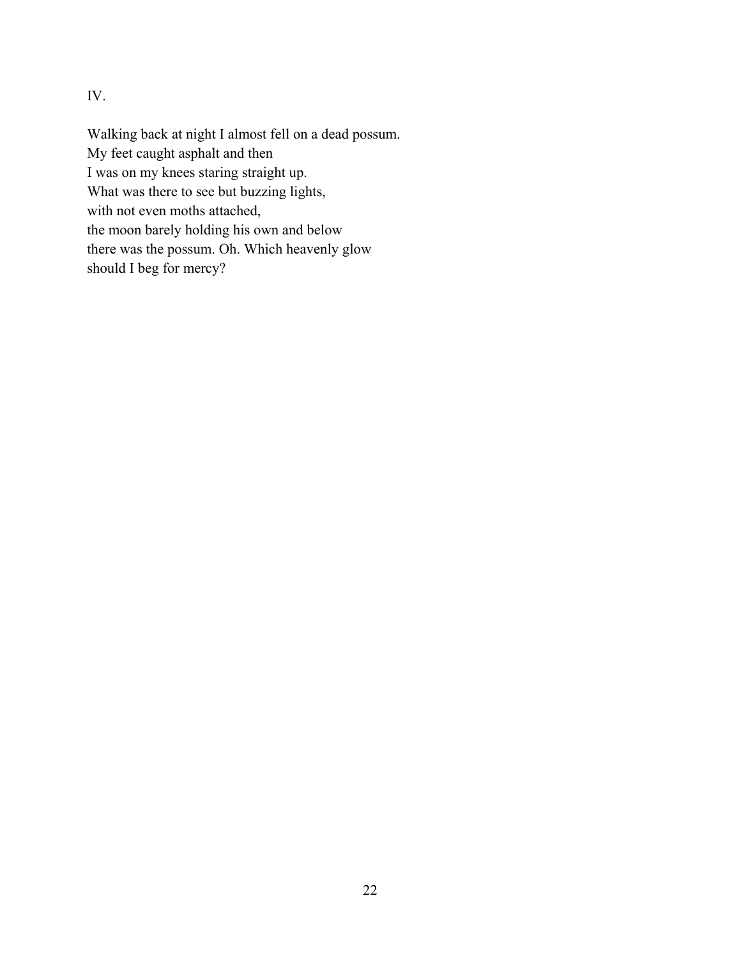IV.

Walking back at night I almost fell on a dead possum. My feet caught asphalt and then I was on my knees staring straight up. What was there to see but buzzing lights, with not even moths attached, the moon barely holding his own and below there was the possum. Oh. Which heavenly glow should I beg for mercy?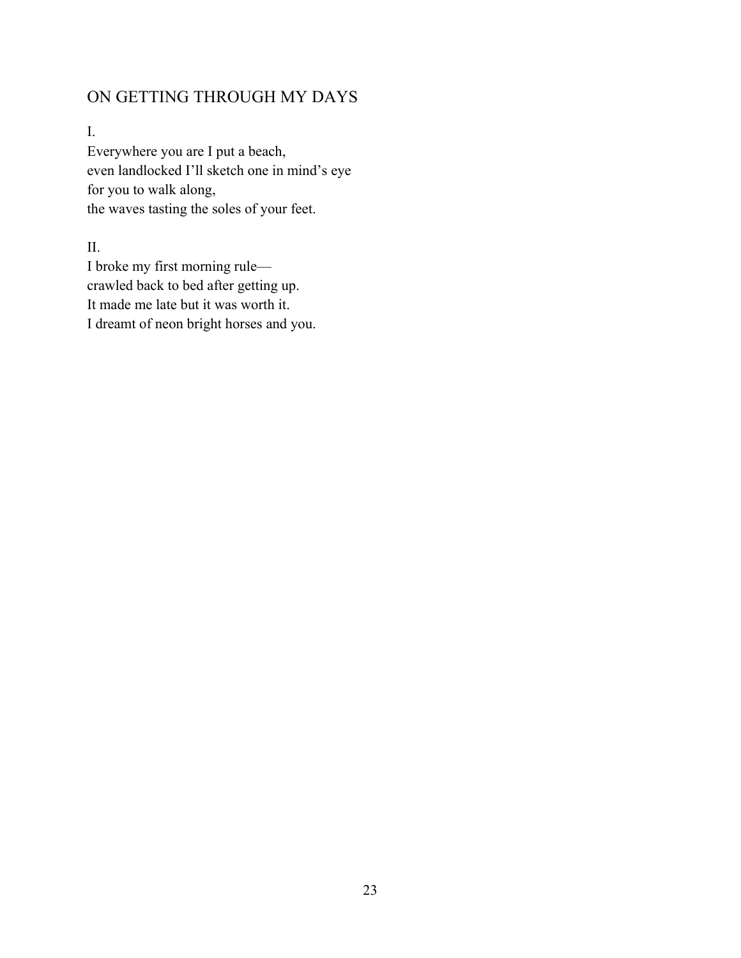# <span id="page-27-0"></span>ON GETTING THROUGH MY DAYS

I.

Everywhere you are I put a beach, even landlocked I'll sketch one in mind's eye for you to walk along, the waves tasting the soles of your feet.

II.

I broke my first morning rule crawled back to bed after getting up. It made me late but it was worth it. I dreamt of neon bright horses and you.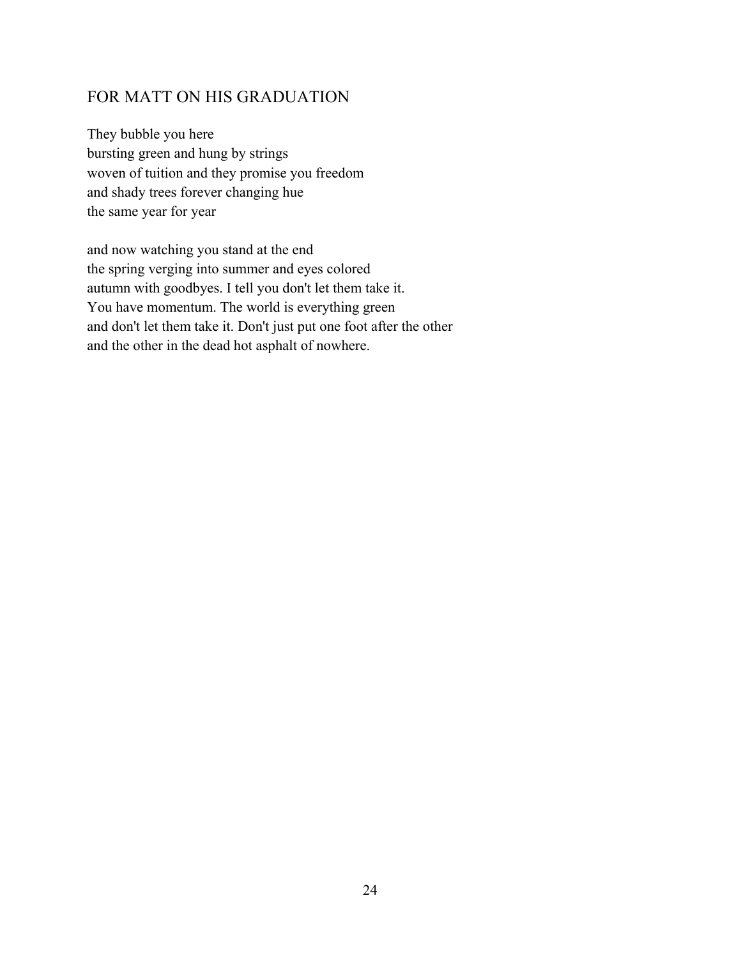# <span id="page-28-0"></span>FOR MATT ON HIS GRADUATION

They bubble you here bursting green and hung by strings woven of tuition and they promise you freedom and shady trees forever changing hue the same year for year

and now watching you stand at the end the spring verging into summer and eyes colored autumn with goodbyes. I tell you don't let them take it. You have momentum. The world is everything green and don't let them take it. Don't just put one foot after the other and the other in the dead hot asphalt of nowhere.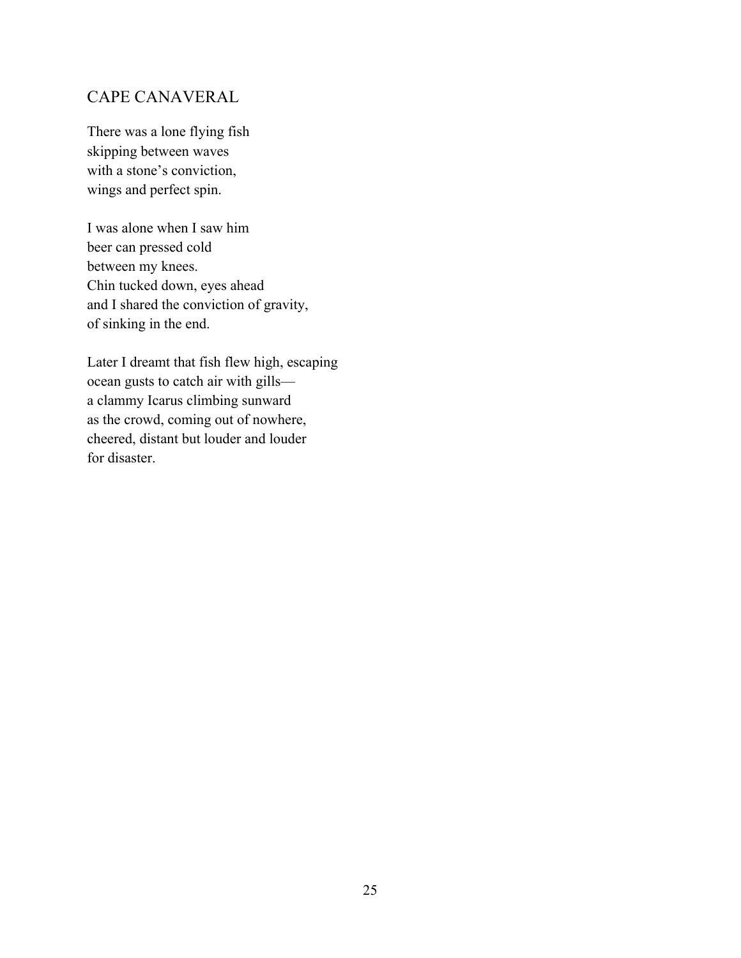# <span id="page-29-0"></span>CAPE CANAVERAL

There was a lone flying fish skipping between waves with a stone's conviction, wings and perfect spin.

I was alone when I saw him beer can pressed cold between my knees. Chin tucked down, eyes ahead and I shared the conviction of gravity, of sinking in the end.

Later I dreamt that fish flew high, escaping ocean gusts to catch air with gills a clammy Icarus climbing sunward as the crowd, coming out of nowhere, cheered, distant but louder and louder for disaster.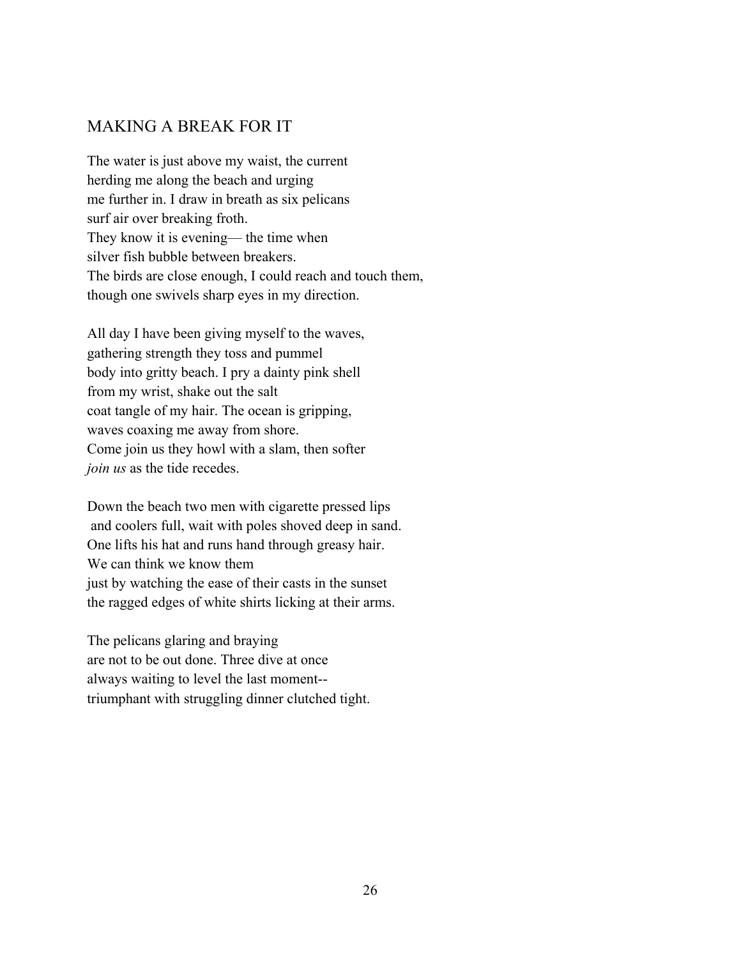# <span id="page-30-0"></span>MAKING A BREAK FOR IT

The water is just above my waist, the current herding me along the beach and urging me further in. I draw in breath as six pelicans surf air over breaking froth. They know it is evening— the time when silver fish bubble between breakers. The birds are close enough, I could reach and touch them, though one swivels sharp eyes in my direction.

All day I have been giving myself to the waves, gathering strength they toss and pummel body into gritty beach. I pry a dainty pink shell from my wrist, shake out the salt coat tangle of my hair. The ocean is gripping, waves coaxing me away from shore. Come join us they howl with a slam, then softer *join us* as the tide recedes.

Down the beach two men with cigarette pressed lips and coolers full, wait with poles shoved deep in sand. One lifts his hat and runs hand through greasy hair. We can think we know them just by watching the ease of their casts in the sunset the ragged edges of white shirts licking at their arms.

The pelicans glaring and braying are not to be out done. Three dive at once always waiting to level the last moment- triumphant with struggling dinner clutched tight.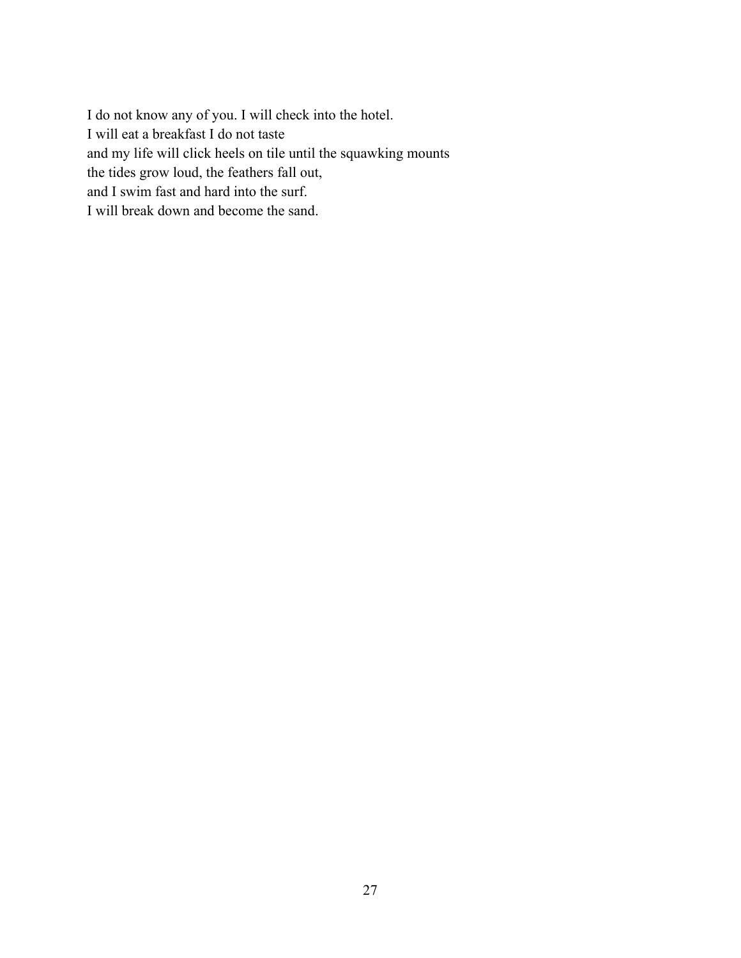I do not know any of you. I will check into the hotel. I will eat a breakfast I do not taste and my life will click heels on tile until the squawking mounts the tides grow loud, the feathers fall out, and I swim fast and hard into the surf. I will break down and become the sand.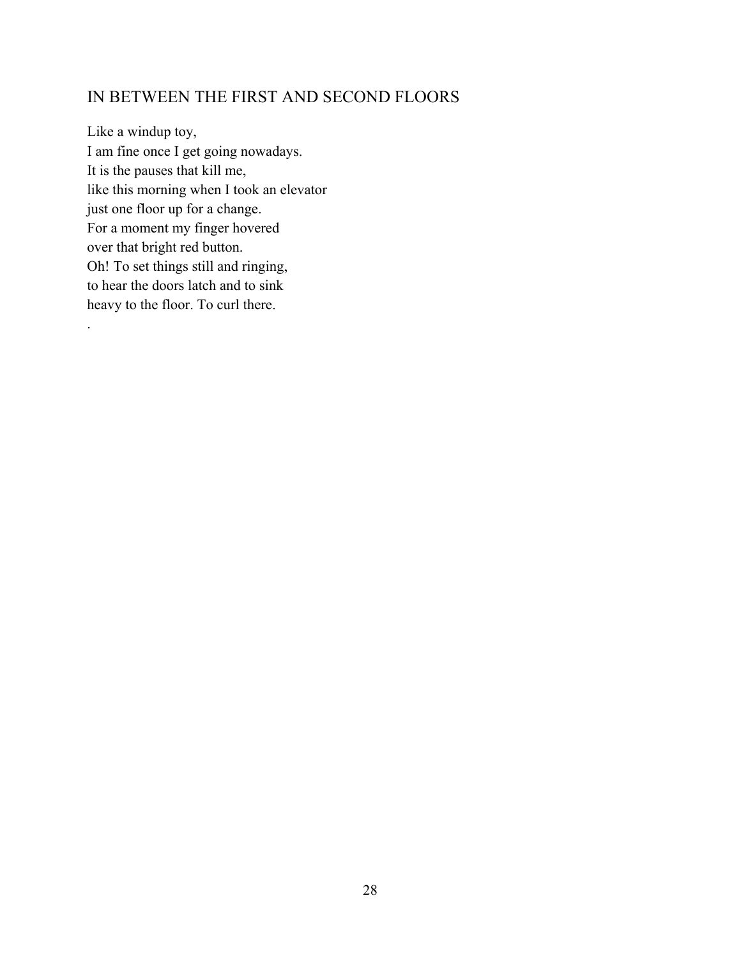# <span id="page-32-0"></span>IN BETWEEN THE FIRST AND SECOND FLOORS

Like a windup toy, I am fine once I get going nowadays. It is the pauses that kill me, like this morning when I took an elevator just one floor up for a change. For a moment my finger hovered over that bright red button. Oh! To set things still and ringing, to hear the doors latch and to sink heavy to the floor. To curl there.

.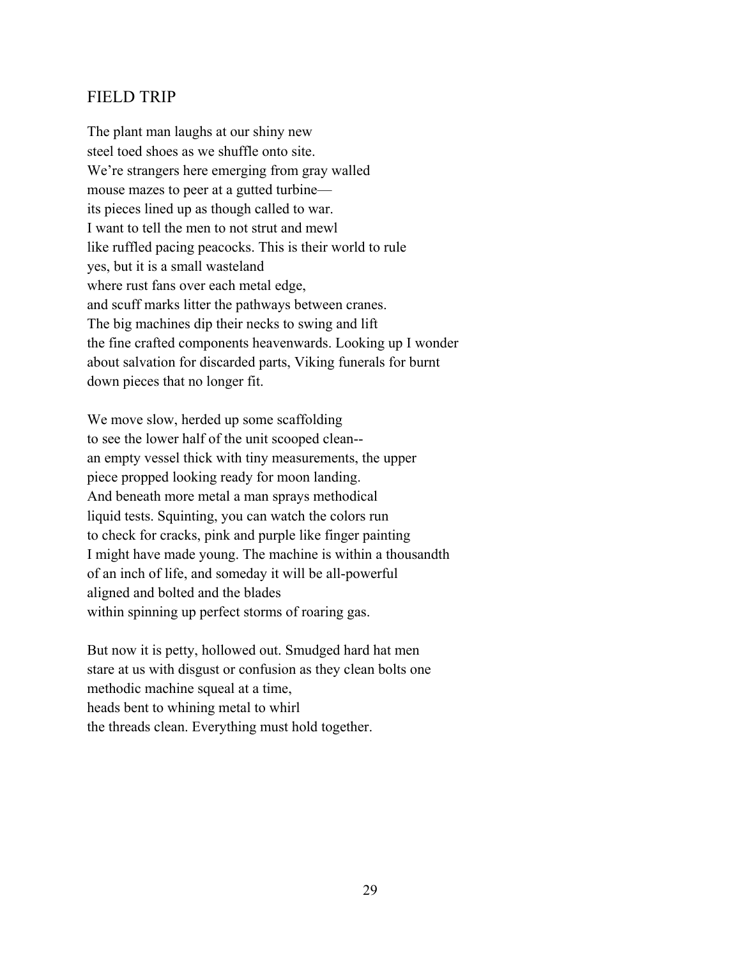## <span id="page-33-0"></span>FIELD TRIP

The plant man laughs at our shiny new steel toed shoes as we shuffle onto site. We're strangers here emerging from gray walled mouse mazes to peer at a gutted turbine its pieces lined up as though called to war. I want to tell the men to not strut and mewl like ruffled pacing peacocks. This is their world to rule yes, but it is a small wasteland where rust fans over each metal edge, and scuff marks litter the pathways between cranes. The big machines dip their necks to swing and lift the fine crafted components heavenwards. Looking up I wonder about salvation for discarded parts, Viking funerals for burnt down pieces that no longer fit.

We move slow, herded up some scaffolding to see the lower half of the unit scooped clean- an empty vessel thick with tiny measurements, the upper piece propped looking ready for moon landing. And beneath more metal a man sprays methodical liquid tests. Squinting, you can watch the colors run to check for cracks, pink and purple like finger painting I might have made young. The machine is within a thousandth of an inch of life, and someday it will be all-powerful aligned and bolted and the blades within spinning up perfect storms of roaring gas.

But now it is petty, hollowed out. Smudged hard hat men stare at us with disgust or confusion as they clean bolts one methodic machine squeal at a time, heads bent to whining metal to whirl the threads clean. Everything must hold together.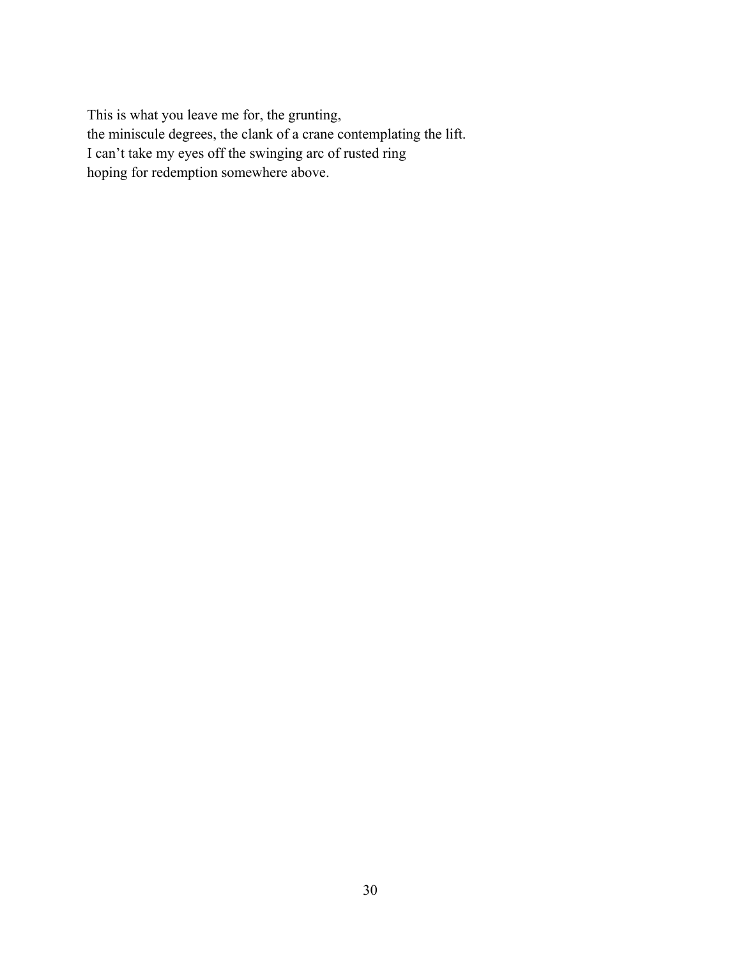This is what you leave me for, the grunting, the miniscule degrees, the clank of a crane contemplating the lift. I can't take my eyes off the swinging arc of rusted ring hoping for redemption somewhere above.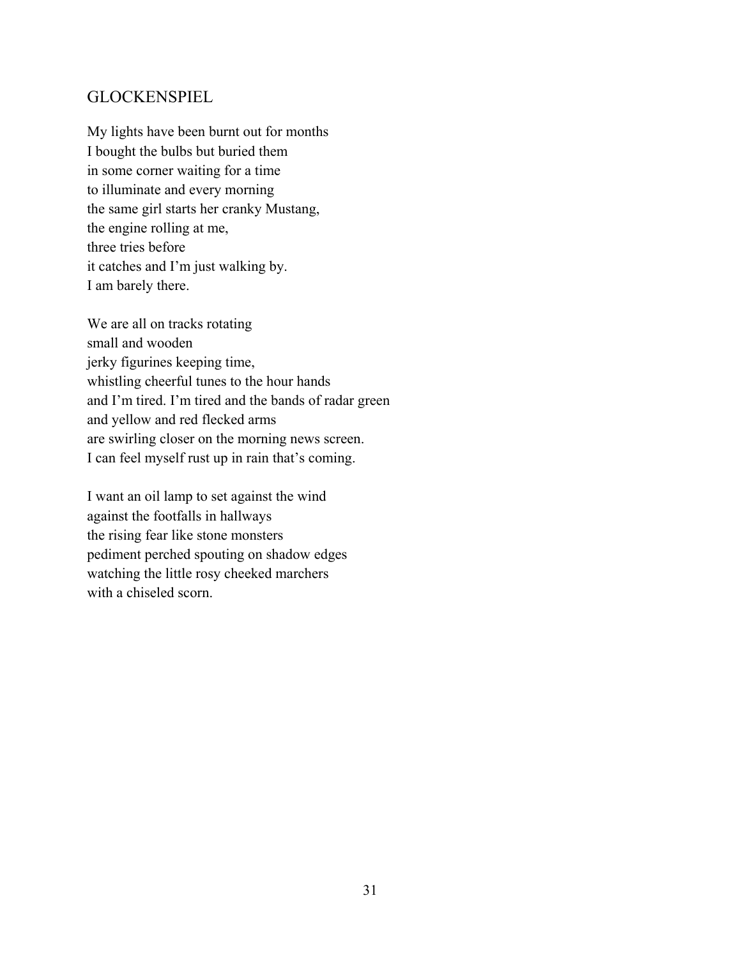## <span id="page-35-0"></span>**GLOCKENSPIEL**

My lights have been burnt out for months I bought the bulbs but buried them in some corner waiting for a time to illuminate and every morning the same girl starts her cranky Mustang, the engine rolling at me, three tries before it catches and I'm just walking by. I am barely there.

We are all on tracks rotating small and wooden jerky figurines keeping time, whistling cheerful tunes to the hour hands and I'm tired. I'm tired and the bands of radar green and yellow and red flecked arms are swirling closer on the morning news screen. I can feel myself rust up in rain that's coming.

I want an oil lamp to set against the wind against the footfalls in hallways the rising fear like stone monsters pediment perched spouting on shadow edges watching the little rosy cheeked marchers with a chiseled scorn.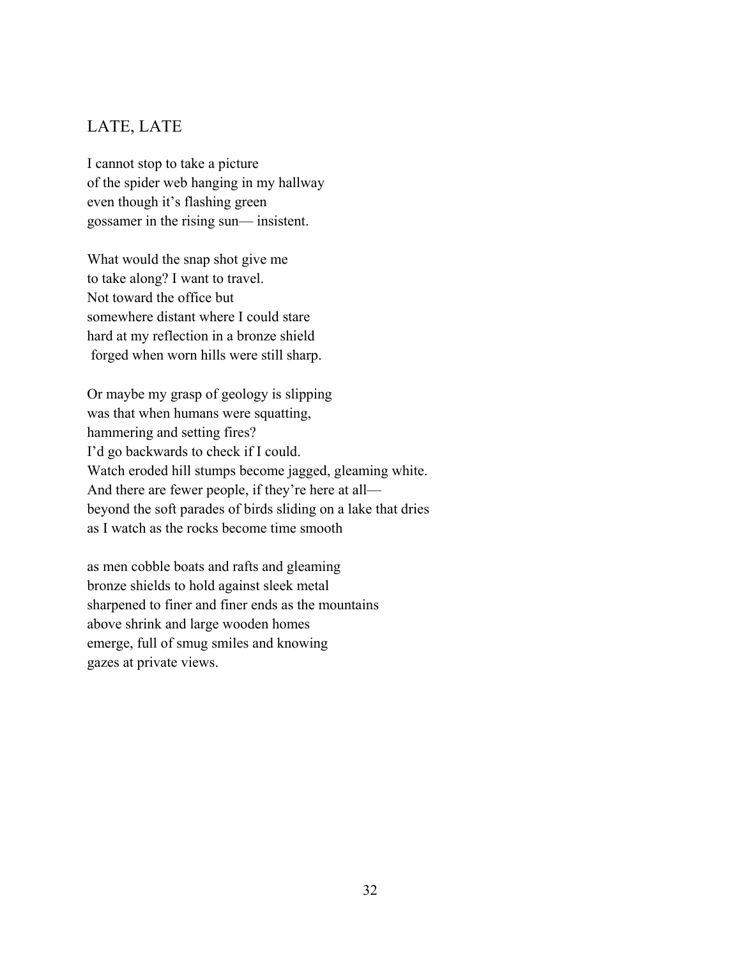# LATE, LATE

I cannot stop to take a picture of the spider web hanging in my hallway even though it's flashing green gossamer in the rising sun— insistent.

What would the snap shot give me to take along? I want to travel. Not toward the office but somewhere distant where I could stare hard at my reflection in a bronze shield forged when worn hills were still sharp.

Or maybe my grasp of geology is slipping was that when humans were squatting, hammering and setting fires? I'd go backwards to check if I could. Watch eroded hill stumps become jagged, gleaming white. And there are fewer people, if they're here at all beyond the soft parades of birds sliding on a lake that dries as I watch as the rocks become time smooth

as men cobble boats and rafts and gleaming bronze shields to hold against sleek metal sharpened to finer and finer ends as the mountains above shrink and large wooden homes emerge, full of smug smiles and knowing gazes at private views.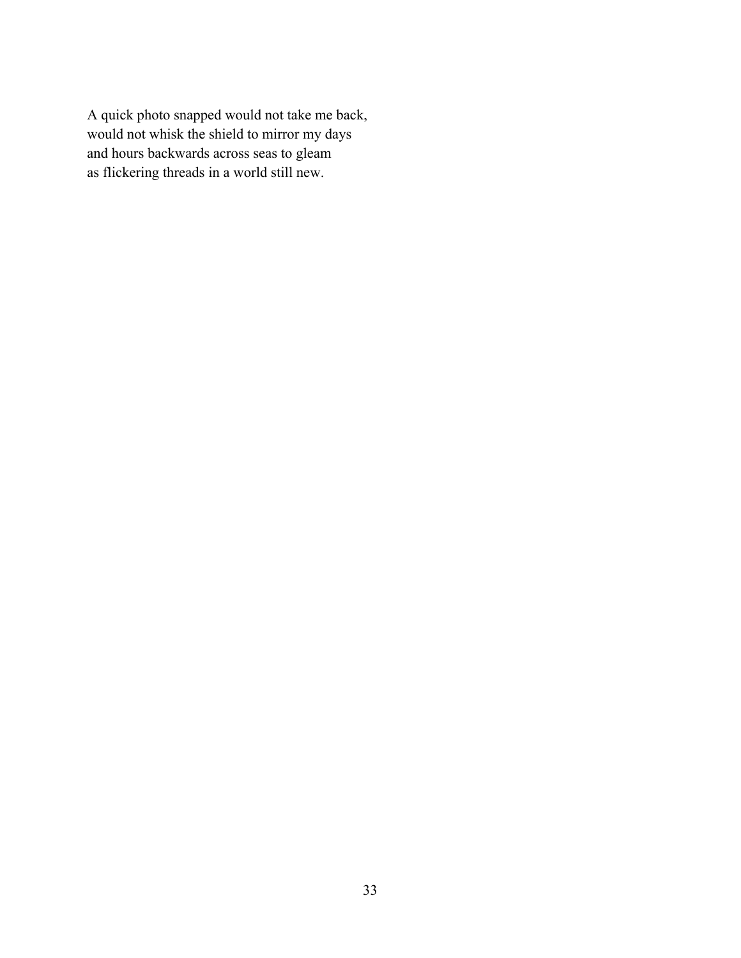A quick photo snapped would not take me back, would not whisk the shield to mirror my days and hours backwards across seas to gleam as flickering threads in a world still new.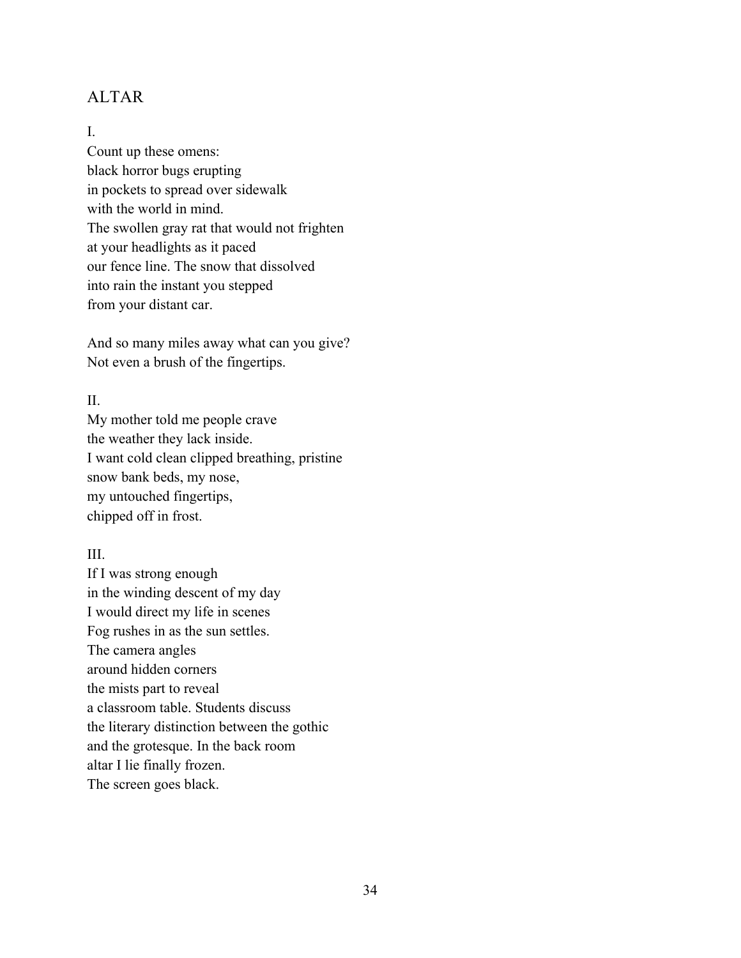## ALTAR

#### I.

Count up these omens: black horror bugs erupting in pockets to spread over sidewalk with the world in mind. The swollen gray rat that would not frighten at your headlights as it paced our fence line. The snow that dissolved into rain the instant you stepped from your distant car.

And so many miles away what can you give? Not even a brush of the fingertips.

#### II.

My mother told me people crave the weather they lack inside. I want cold clean clipped breathing, pristine snow bank beds, my nose, my untouched fingertips, chipped off in frost.

#### III.

If I was strong enough in the winding descent of my day I would direct my life in scenes Fog rushes in as the sun settles. The camera angles around hidden corners the mists part to reveal a classroom table. Students discuss the literary distinction between the gothic and the grotesque. In the back room altar I lie finally frozen. The screen goes black.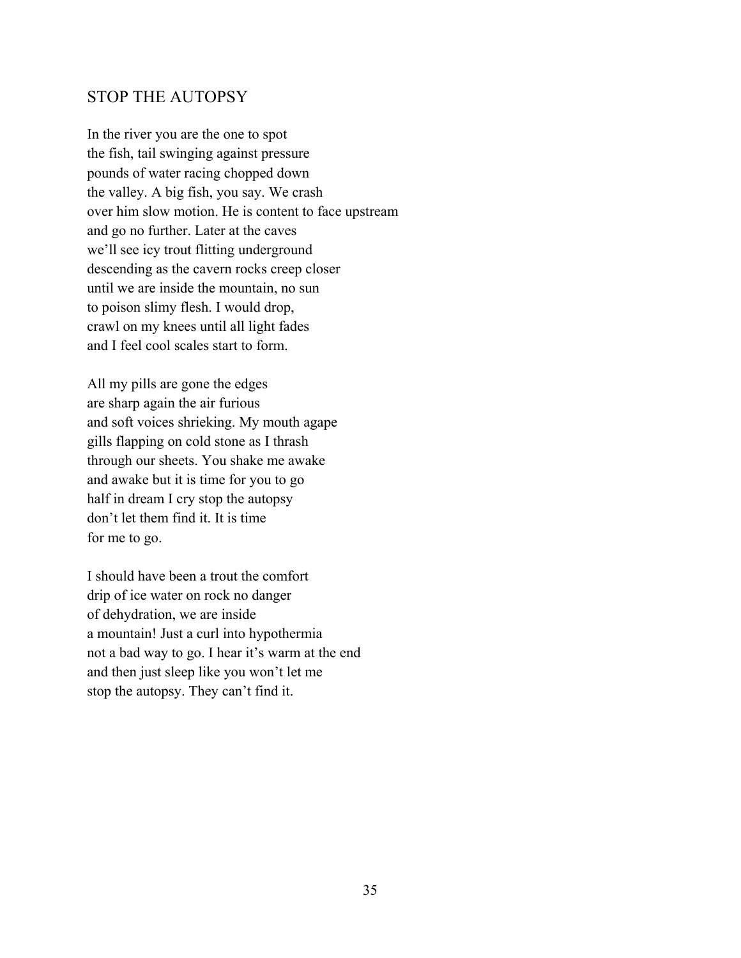#### STOP THE AUTOPSY

In the river you are the one to spot the fish, tail swinging against pressure pounds of water racing chopped down the valley. A big fish, you say. We crash over him slow motion. He is content to face upstream and go no further. Later at the caves we'll see icy trout flitting underground descending as the cavern rocks creep closer until we are inside the mountain, no sun to poison slimy flesh. I would drop, crawl on my knees until all light fades and I feel cool scales start to form.

All my pills are gone the edges are sharp again the air furious and soft voices shrieking. My mouth agape gills flapping on cold stone as I thrash through our sheets. You shake me awake and awake but it is time for you to go half in dream I cry stop the autopsy don't let them find it. It is time for me to go.

I should have been a trout the comfort drip of ice water on rock no danger of dehydration, we are inside a mountain! Just a curl into hypothermia not a bad way to go. I hear it's warm at the end and then just sleep like you won't let me stop the autopsy. They can't find it.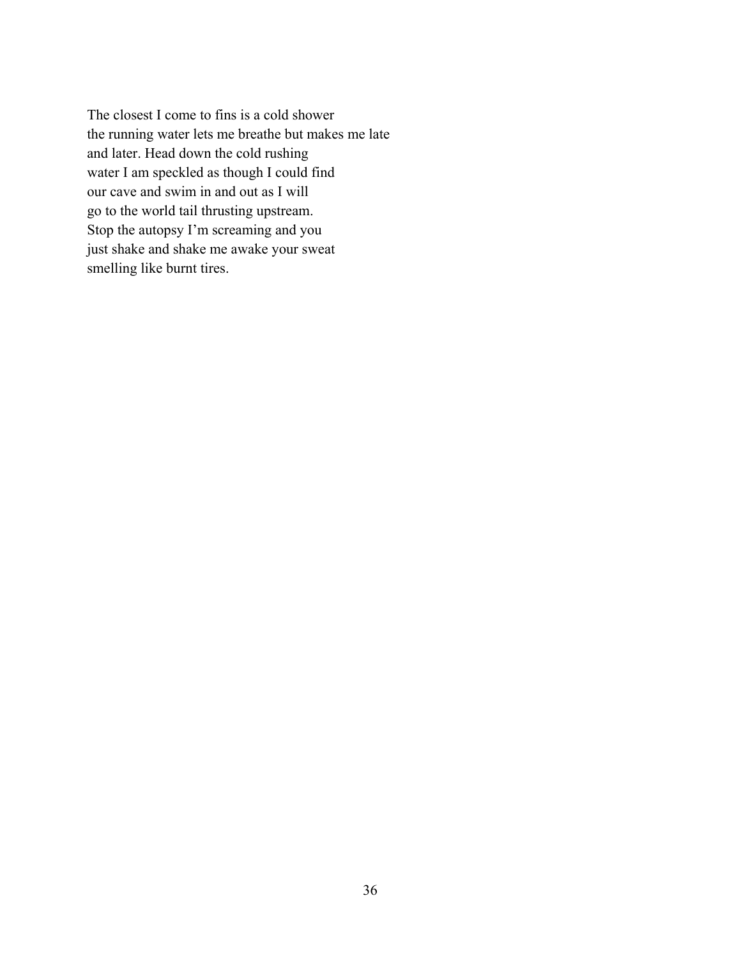The closest I come to fins is a cold shower the running water lets me breathe but makes me late and later. Head down the cold rushing water I am speckled as though I could find our cave and swim in and out as I will go to the world tail thrusting upstream. Stop the autopsy I'm screaming and you just shake and shake me awake your sweat smelling like burnt tires.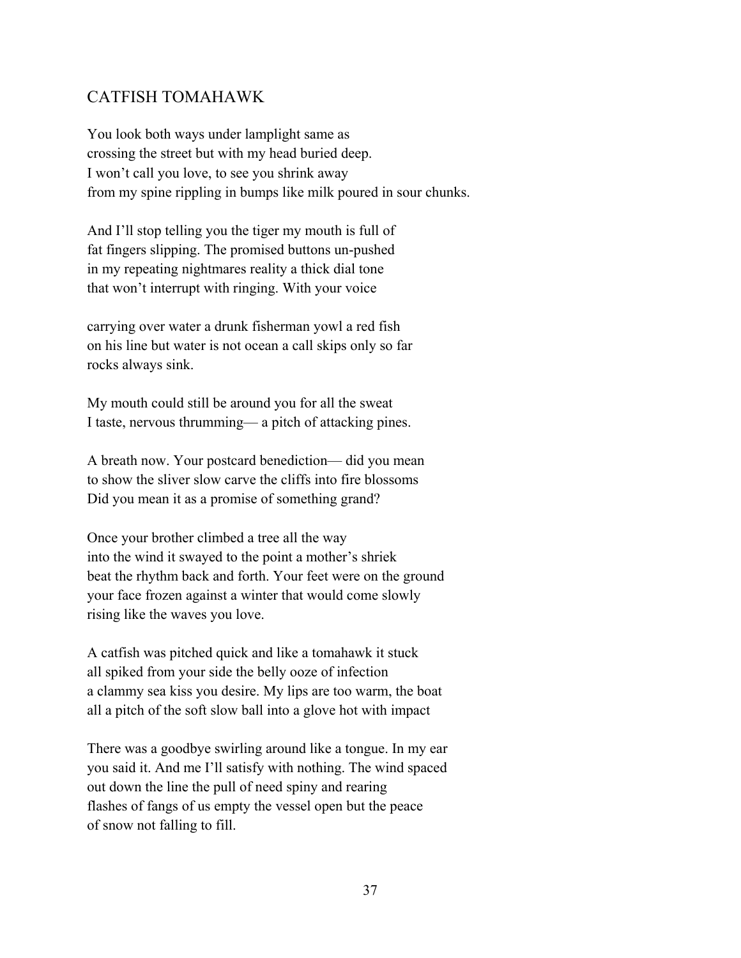### CATFISH TOMAHAWK

You look both ways under lamplight same as crossing the street but with my head buried deep. I won't call you love, to see you shrink away from my spine rippling in bumps like milk poured in sour chunks.

And I'll stop telling you the tiger my mouth is full of fat fingers slipping. The promised buttons un-pushed in my repeating nightmares reality a thick dial tone that won't interrupt with ringing. With your voice

carrying over water a drunk fisherman yowl a red fish on his line but water is not ocean a call skips only so far rocks always sink.

My mouth could still be around you for all the sweat I taste, nervous thrumming— a pitch of attacking pines.

A breath now. Your postcard benediction— did you mean to show the sliver slow carve the cliffs into fire blossoms Did you mean it as a promise of something grand?

Once your brother climbed a tree all the way into the wind it swayed to the point a mother's shriek beat the rhythm back and forth. Your feet were on the ground your face frozen against a winter that would come slowly rising like the waves you love.

A catfish was pitched quick and like a tomahawk it stuck all spiked from your side the belly ooze of infection a clammy sea kiss you desire. My lips are too warm, the boat all a pitch of the soft slow ball into a glove hot with impact

There was a goodbye swirling around like a tongue. In my ear you said it. And me I'll satisfy with nothing. The wind spaced out down the line the pull of need spiny and rearing flashes of fangs of us empty the vessel open but the peace of snow not falling to fill.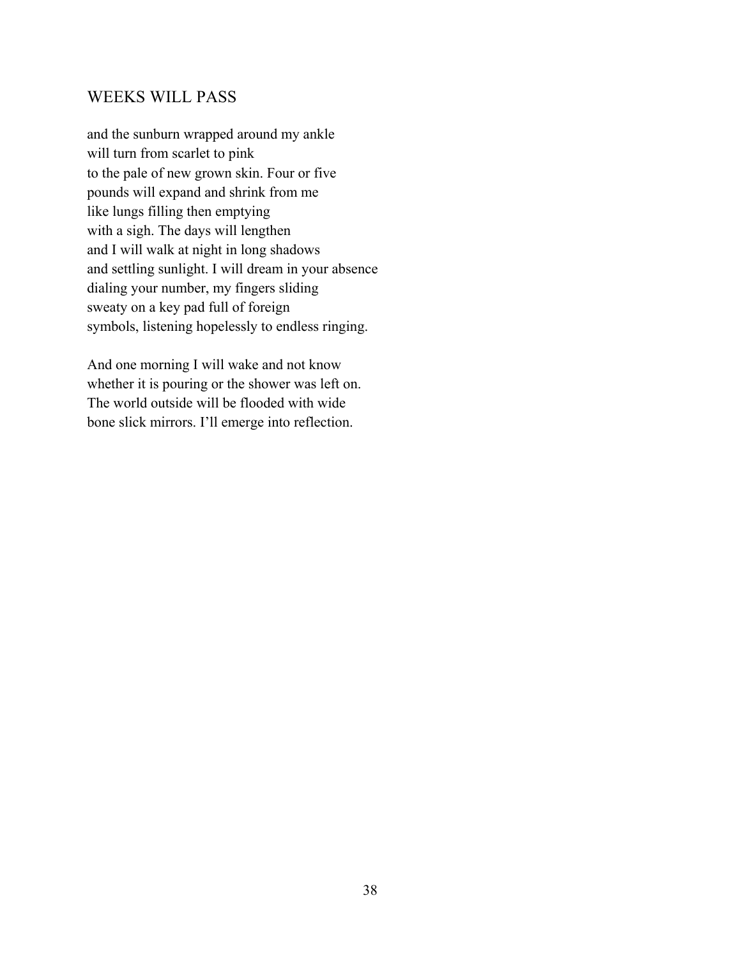#### WEEKS WILL PASS

and the sunburn wrapped around my ankle will turn from scarlet to pink to the pale of new grown skin. Four or five pounds will expand and shrink from me like lungs filling then emptying with a sigh. The days will lengthen and I will walk at night in long shadows and settling sunlight. I will dream in your absence dialing your number, my fingers sliding sweaty on a key pad full of foreign symbols, listening hopelessly to endless ringing.

And one morning I will wake and not know whether it is pouring or the shower was left on. The world outside will be flooded with wide bone slick mirrors. I'll emerge into reflection.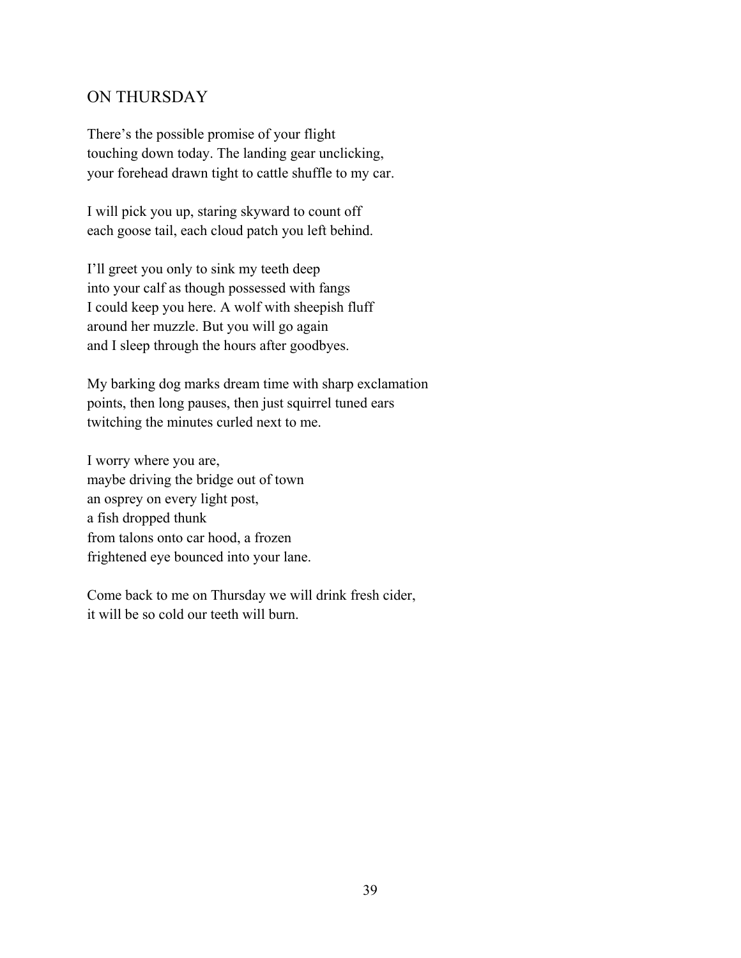#### ON THURSDAY

There's the possible promise of your flight touching down today. The landing gear unclicking, your forehead drawn tight to cattle shuffle to my car.

I will pick you up, staring skyward to count off each goose tail, each cloud patch you left behind.

I'll greet you only to sink my teeth deep into your calf as though possessed with fangs I could keep you here. A wolf with sheepish fluff around her muzzle. But you will go again and I sleep through the hours after goodbyes.

My barking dog marks dream time with sharp exclamation points, then long pauses, then just squirrel tuned ears twitching the minutes curled next to me.

I worry where you are, maybe driving the bridge out of town an osprey on every light post, a fish dropped thunk from talons onto car hood, a frozen frightened eye bounced into your lane.

Come back to me on Thursday we will drink fresh cider, it will be so cold our teeth will burn.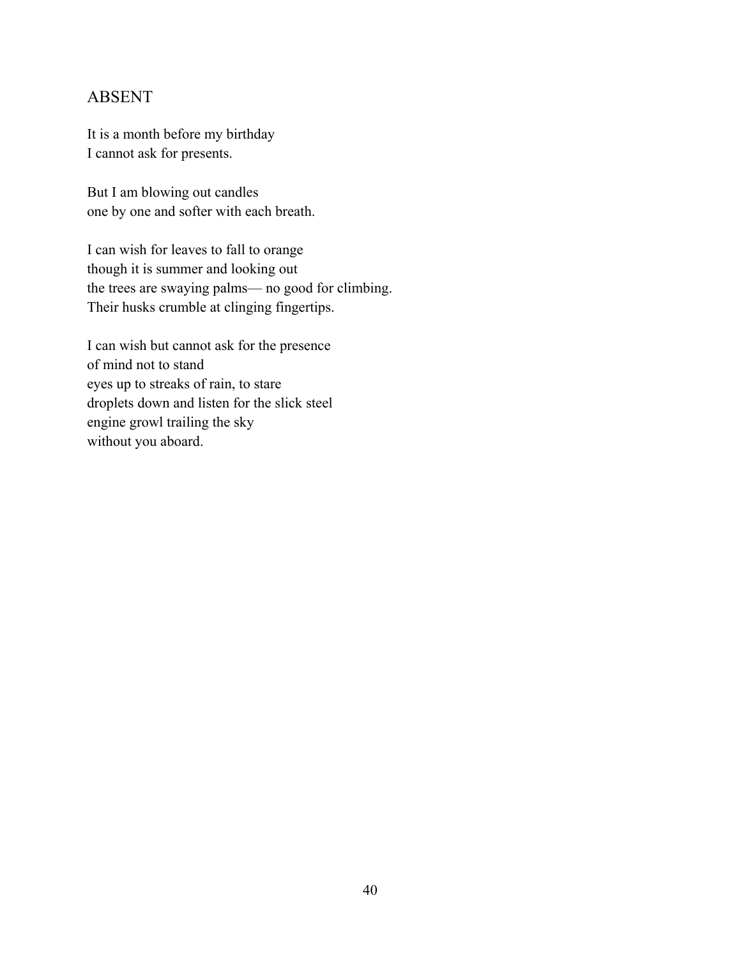## ABSENT

It is a month before my birthday I cannot ask for presents.

But I am blowing out candles one by one and softer with each breath.

I can wish for leaves to fall to orange though it is summer and looking out the trees are swaying palms— no good for climbing. Their husks crumble at clinging fingertips.

I can wish but cannot ask for the presence of mind not to stand eyes up to streaks of rain, to stare droplets down and listen for the slick steel engine growl trailing the sky without you aboard.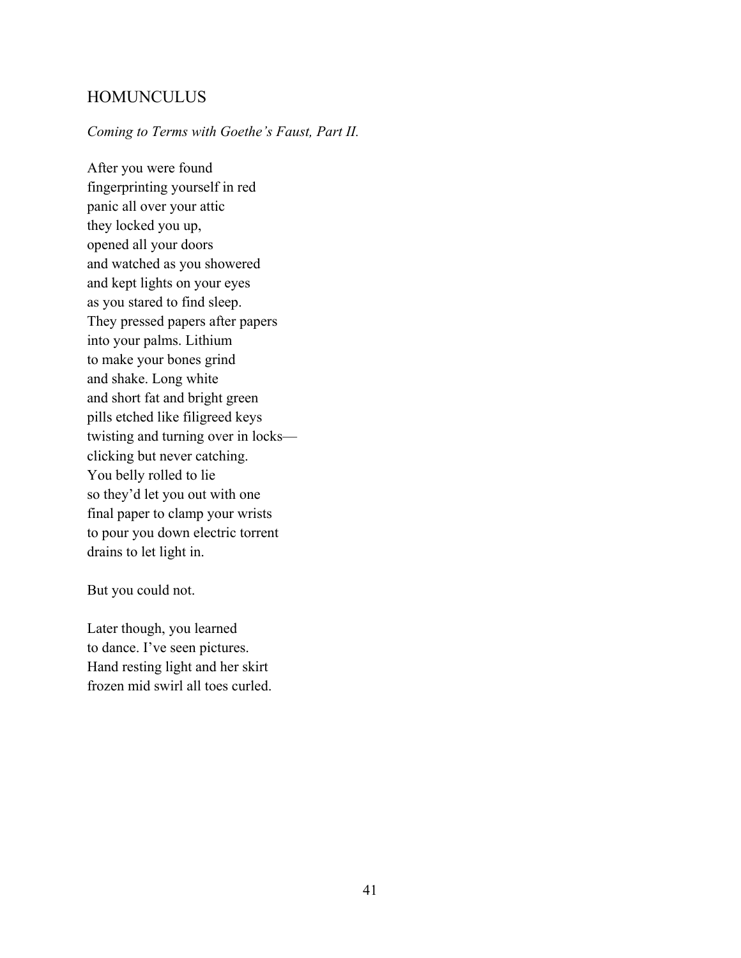## **HOMUNCULUS**

#### *Coming to Terms with Goethe's Faust, Part II.*

After you were found fingerprinting yourself in red panic all over your attic they locked you up, opened all your doors and watched as you showered and kept lights on your eyes as you stared to find sleep. They pressed papers after papers into your palms. Lithium to make your bones grind and shake. Long white and short fat and bright green pills etched like filigreed keys twisting and turning over in locks clicking but never catching. You belly rolled to lie so they'd let you out with one final paper to clamp your wrists to pour you down electric torrent drains to let light in.

But you could not.

Later though, you learned to dance. I've seen pictures. Hand resting light and her skirt frozen mid swirl all toes curled.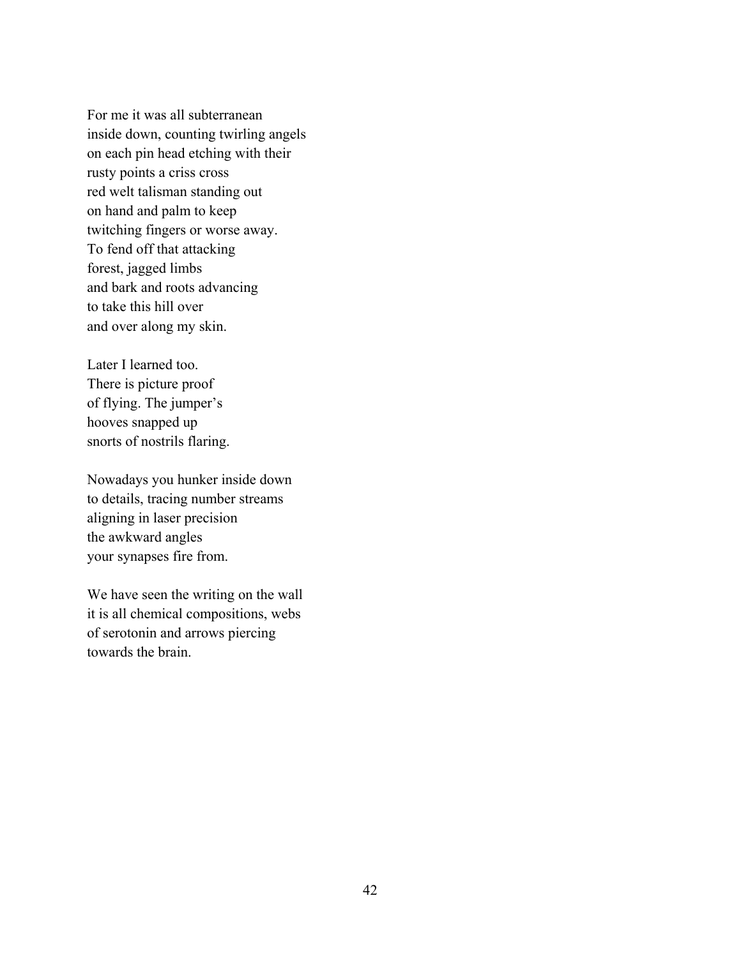For me it was all subterranean inside down, counting twirling angels on each pin head etching with their rusty points a criss cross red welt talisman standing out on hand and palm to keep twitching fingers or worse away. To fend off that attacking forest, jagged limbs and bark and roots advancing to take this hill over and over along my skin.

Later I learned too. There is picture proof of flying. The jumper's hooves snapped up snorts of nostrils flaring.

Nowadays you hunker inside down to details, tracing number streams aligning in laser precision the awkward angles your synapses fire from.

We have seen the writing on the wall it is all chemical compositions, webs of serotonin and arrows piercing towards the brain.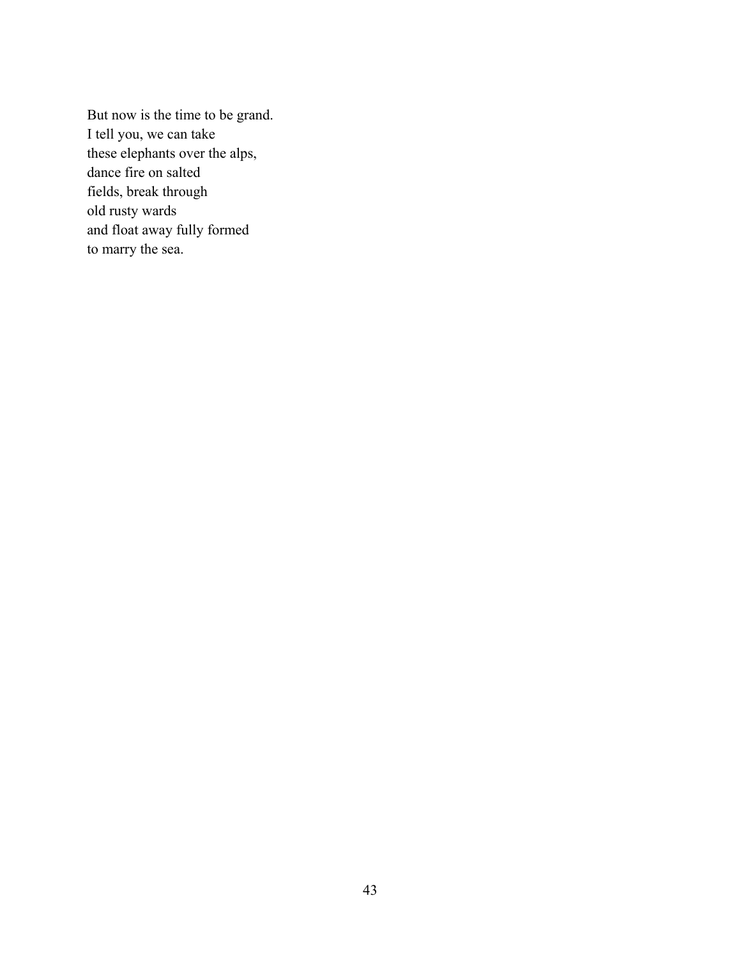But now is the time to be grand. I tell you, we can take these elephants over the alps, dance fire on salted fields, break through old rusty wards and float away fully formed to marry the sea.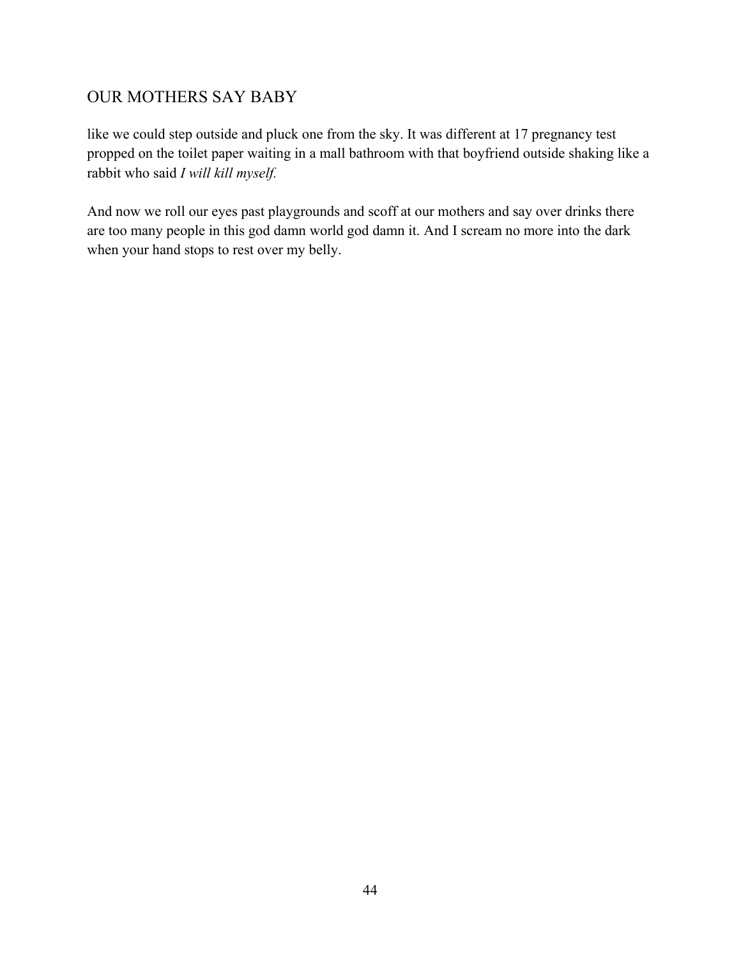# OUR MOTHERS SAY BABY

like we could step outside and pluck one from the sky. It was different at 17 pregnancy test propped on the toilet paper waiting in a mall bathroom with that boyfriend outside shaking like a rabbit who said *I will kill myself.*

And now we roll our eyes past playgrounds and scoff at our mothers and say over drinks there are too many people in this god damn world god damn it. And I scream no more into the dark when your hand stops to rest over my belly.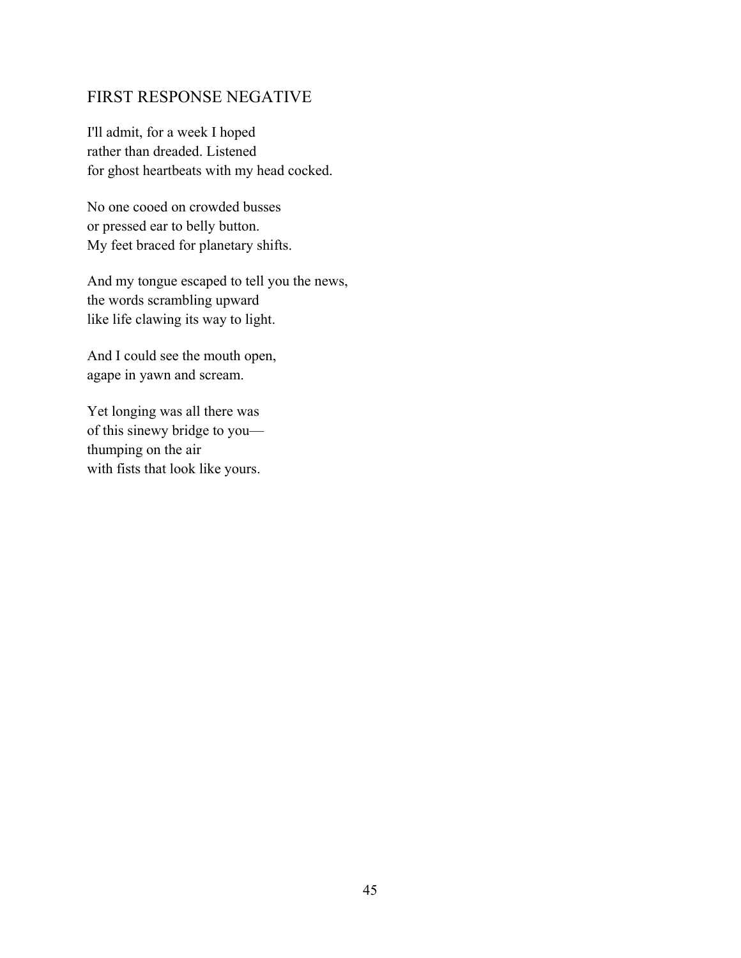### FIRST RESPONSE NEGATIVE

I'll admit, for a week I hoped rather than dreaded. Listened for ghost heartbeats with my head cocked.

No one cooed on crowded busses or pressed ear to belly button. My feet braced for planetary shifts.

And my tongue escaped to tell you the news, the words scrambling upward like life clawing its way to light.

And I could see the mouth open, agape in yawn and scream.

Yet longing was all there was of this sinewy bridge to you thumping on the air with fists that look like yours.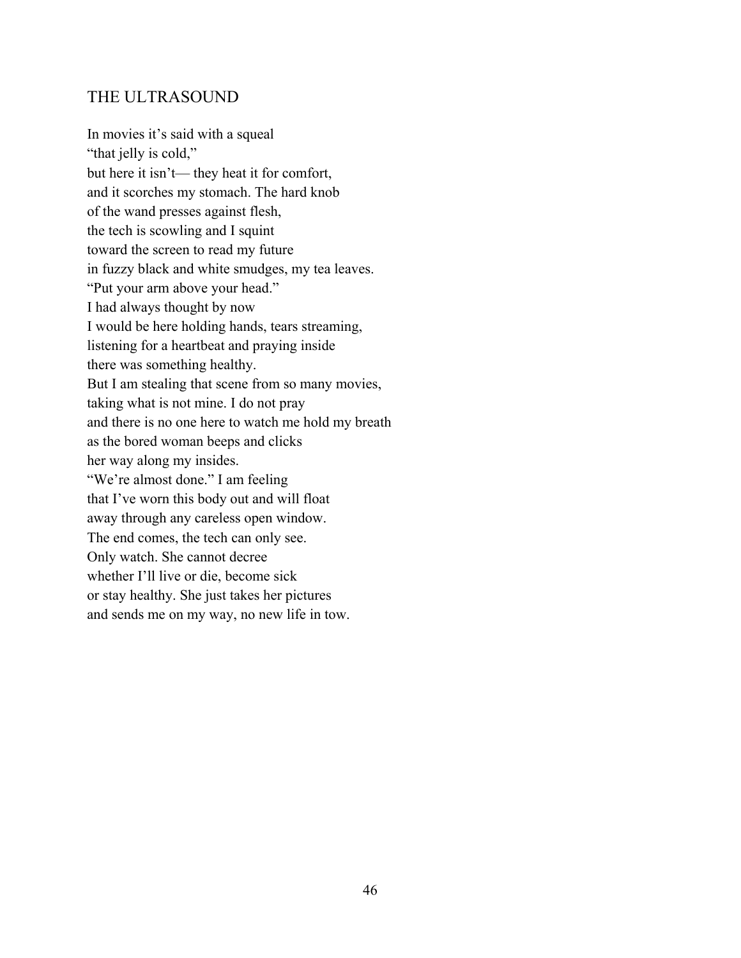#### THE ULTRASOUND

In movies it's said with a squeal "that jelly is cold," but here it isn't— they heat it for comfort, and it scorches my stomach. The hard knob of the wand presses against flesh, the tech is scowling and I squint toward the screen to read my future in fuzzy black and white smudges, my tea leaves. "Put your arm above your head." I had always thought by now I would be here holding hands, tears streaming, listening for a heartbeat and praying inside there was something healthy. But I am stealing that scene from so many movies, taking what is not mine. I do not pray and there is no one here to watch me hold my breath as the bored woman beeps and clicks her way along my insides. "We're almost done." I am feeling that I've worn this body out and will float away through any careless open window. The end comes, the tech can only see. Only watch. She cannot decree whether I'll live or die, become sick or stay healthy. She just takes her pictures and sends me on my way, no new life in tow.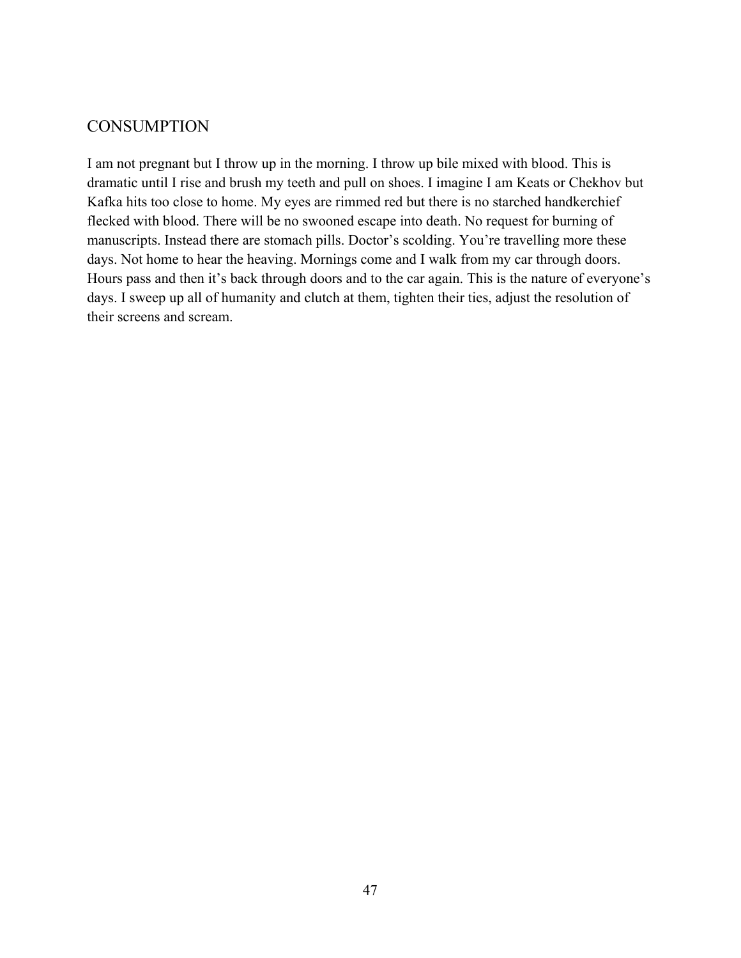# **CONSUMPTION**

I am not pregnant but I throw up in the morning. I throw up bile mixed with blood. This is dramatic until I rise and brush my teeth and pull on shoes. I imagine I am Keats or Chekhov but Kafka hits too close to home. My eyes are rimmed red but there is no starched handkerchief flecked with blood. There will be no swooned escape into death. No request for burning of manuscripts. Instead there are stomach pills. Doctor's scolding. You're travelling more these days. Not home to hear the heaving. Mornings come and I walk from my car through doors. Hours pass and then it's back through doors and to the car again. This is the nature of everyone's days. I sweep up all of humanity and clutch at them, tighten their ties, adjust the resolution of their screens and scream.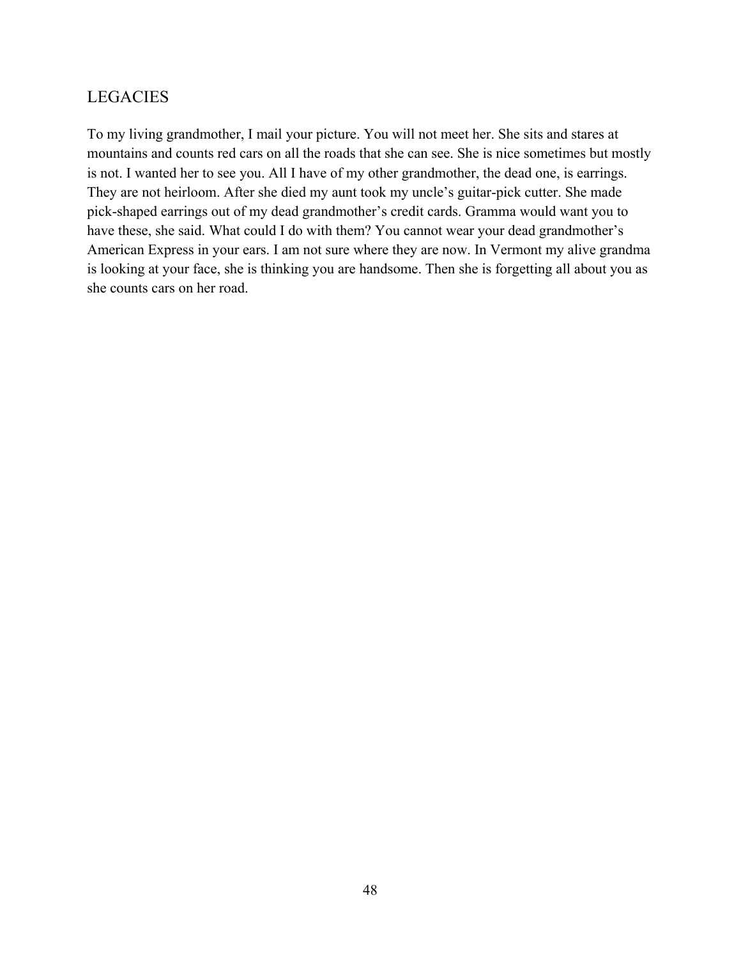# LEGACIES

To my living grandmother, I mail your picture. You will not meet her. She sits and stares at mountains and counts red cars on all the roads that she can see. She is nice sometimes but mostly is not. I wanted her to see you. All I have of my other grandmother, the dead one, is earrings. They are not heirloom. After she died my aunt took my uncle's guitar-pick cutter. She made pick-shaped earrings out of my dead grandmother's credit cards. Gramma would want you to have these, she said. What could I do with them? You cannot wear your dead grandmother's American Express in your ears. I am not sure where they are now. In Vermont my alive grandma is looking at your face, she is thinking you are handsome. Then she is forgetting all about you as she counts cars on her road.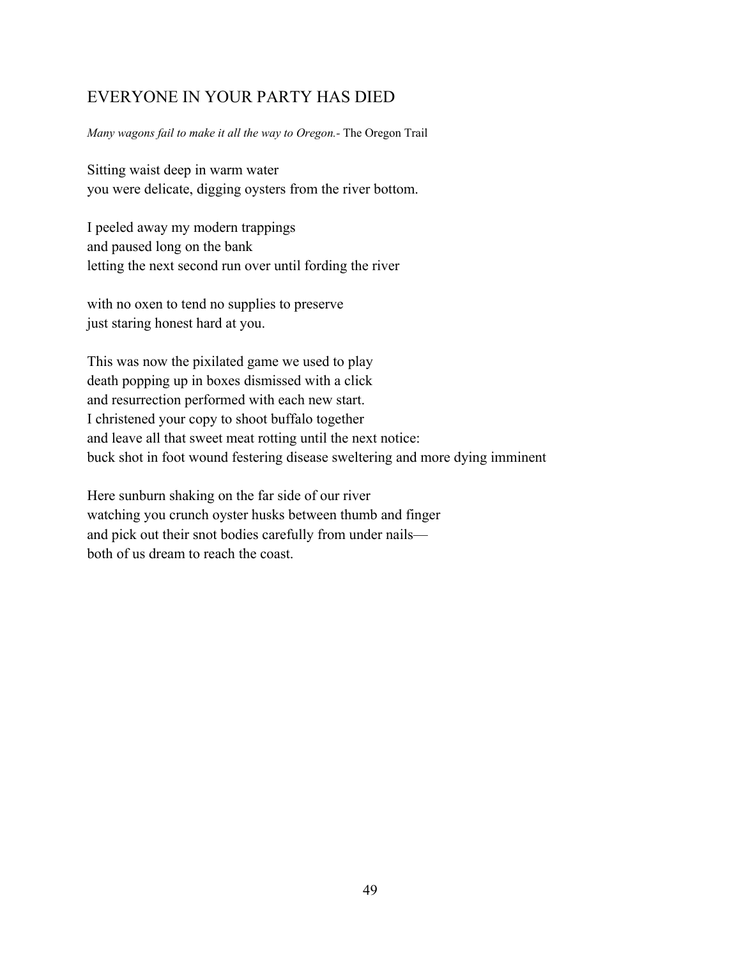# EVERYONE IN YOUR PARTY HAS DIED

#### *Many wagons fail to make it all the way to Oregon.-* The Oregon Trail

Sitting waist deep in warm water you were delicate, digging oysters from the river bottom.

I peeled away my modern trappings and paused long on the bank letting the next second run over until fording the river

with no oxen to tend no supplies to preserve just staring honest hard at you.

This was now the pixilated game we used to play death popping up in boxes dismissed with a click and resurrection performed with each new start. I christened your copy to shoot buffalo together and leave all that sweet meat rotting until the next notice: buck shot in foot wound festering disease sweltering and more dying imminent

Here sunburn shaking on the far side of our river watching you crunch oyster husks between thumb and finger and pick out their snot bodies carefully from under nails both of us dream to reach the coast.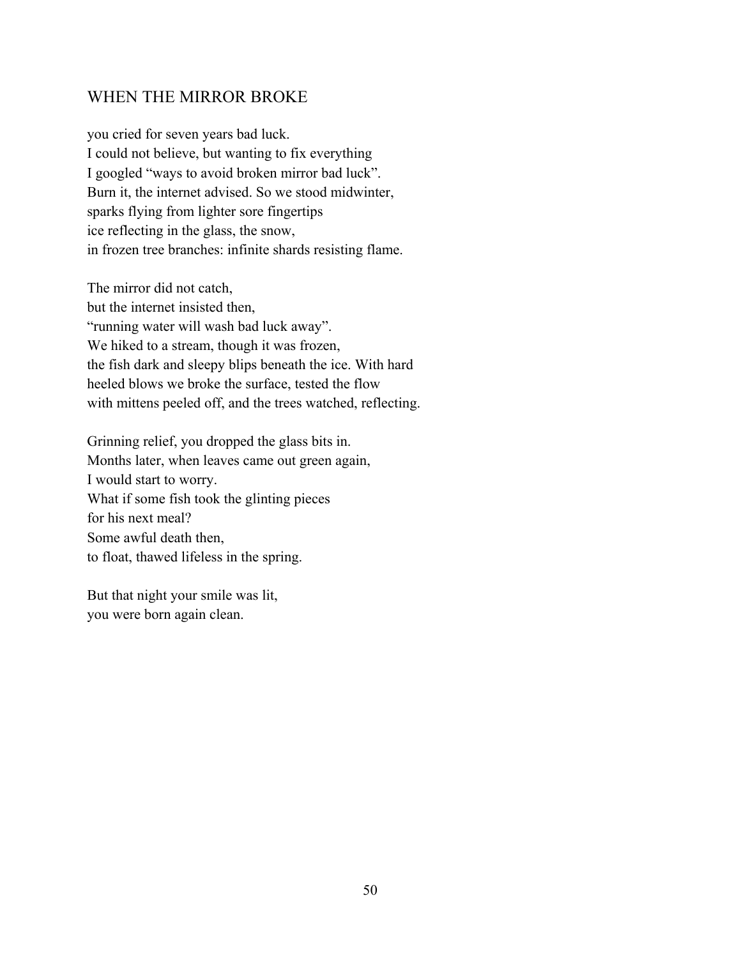## WHEN THE MIRROR BROKE

you cried for seven years bad luck. I could not believe, but wanting to fix everything I googled "ways to avoid broken mirror bad luck". Burn it, the internet advised. So we stood midwinter, sparks flying from lighter sore fingertips ice reflecting in the glass, the snow, in frozen tree branches: infinite shards resisting flame.

The mirror did not catch, but the internet insisted then, "running water will wash bad luck away". We hiked to a stream, though it was frozen, the fish dark and sleepy blips beneath the ice. With hard heeled blows we broke the surface, tested the flow with mittens peeled off, and the trees watched, reflecting.

Grinning relief, you dropped the glass bits in. Months later, when leaves came out green again, I would start to worry. What if some fish took the glinting pieces for his next meal? Some awful death then, to float, thawed lifeless in the spring.

But that night your smile was lit, you were born again clean.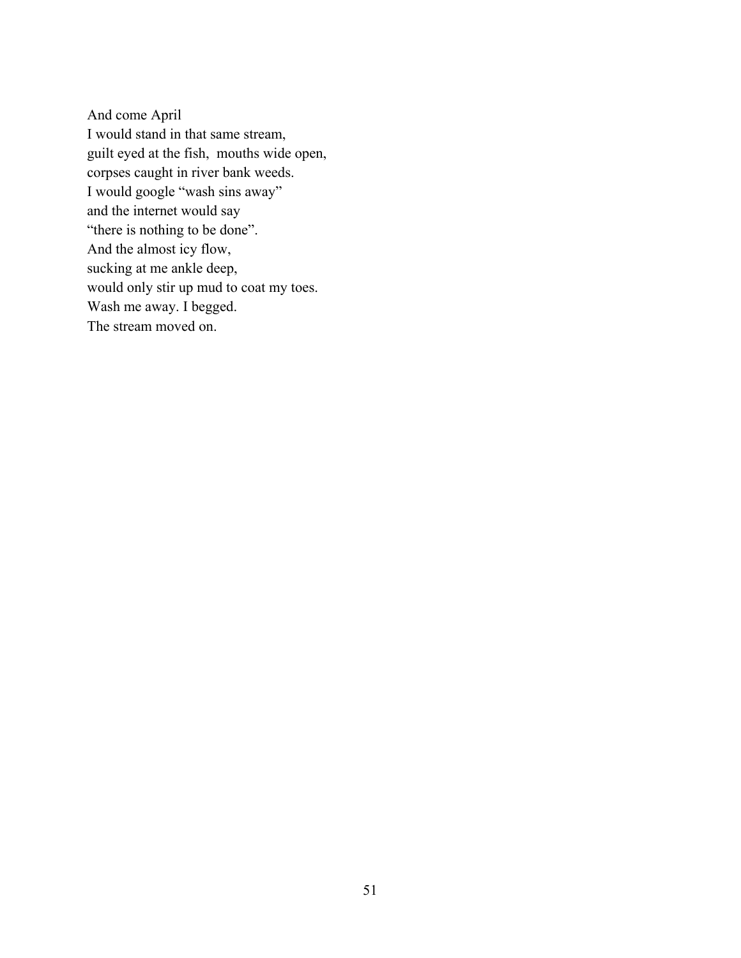And come April I would stand in that same stream, guilt eyed at the fish, mouths wide open, corpses caught in river bank weeds. I would google "wash sins away" and the internet would say "there is nothing to be done". And the almost icy flow, sucking at me ankle deep, would only stir up mud to coat my toes. Wash me away. I begged. The stream moved on.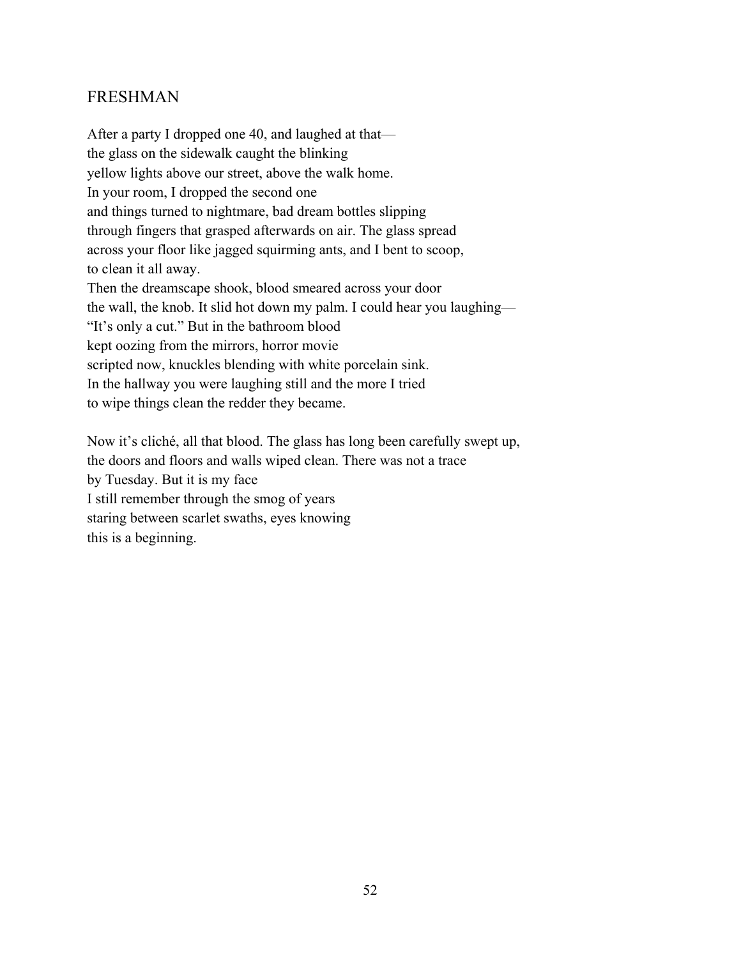## FRESHMAN

After a party I dropped one 40, and laughed at that the glass on the sidewalk caught the blinking yellow lights above our street, above the walk home. In your room, I dropped the second one and things turned to nightmare, bad dream bottles slipping through fingers that grasped afterwards on air. The glass spread across your floor like jagged squirming ants, and I bent to scoop, to clean it all away. Then the dreamscape shook, blood smeared across your door the wall, the knob. It slid hot down my palm. I could hear you laughing— "It's only a cut." But in the bathroom blood kept oozing from the mirrors, horror movie scripted now, knuckles blending with white porcelain sink. In the hallway you were laughing still and the more I tried to wipe things clean the redder they became.

Now it's cliché, all that blood. The glass has long been carefully swept up, the doors and floors and walls wiped clean. There was not a trace by Tuesday. But it is my face I still remember through the smog of years staring between scarlet swaths, eyes knowing this is a beginning.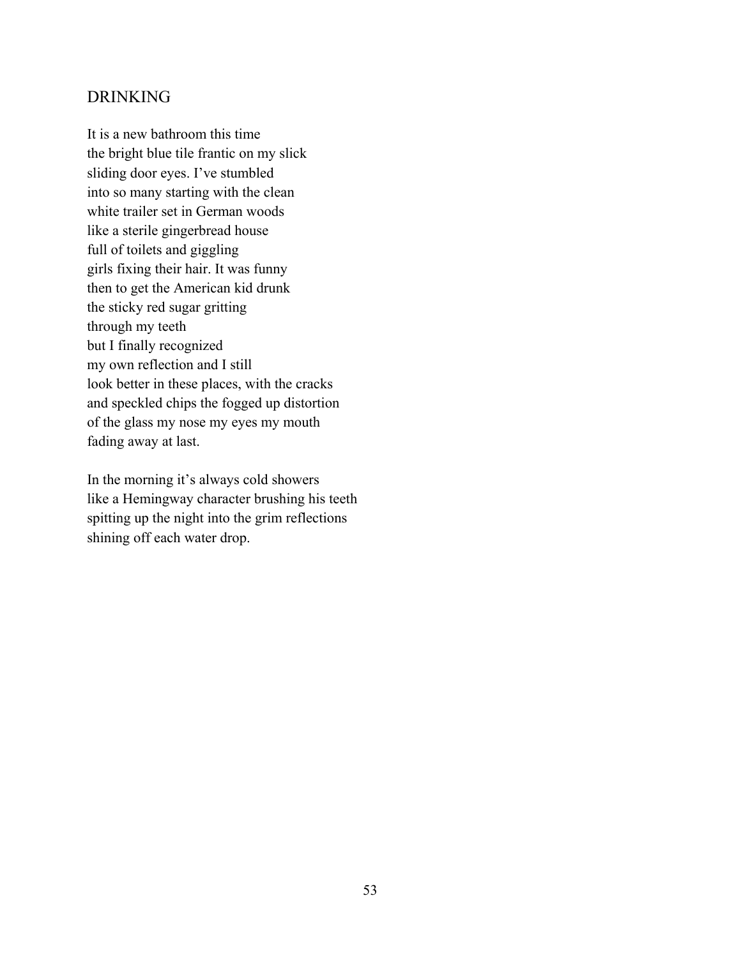#### DRINKING

It is a new bathroom this time the bright blue tile frantic on my slick sliding door eyes. I've stumbled into so many starting with the clean white trailer set in German woods like a sterile gingerbread house full of toilets and giggling girls fixing their hair. It was funny then to get the American kid drunk the sticky red sugar gritting through my teeth but I finally recognized my own reflection and I still look better in these places, with the cracks and speckled chips the fogged up distortion of the glass my nose my eyes my mouth fading away at last.

In the morning it's always cold showers like a Hemingway character brushing his teeth spitting up the night into the grim reflections shining off each water drop.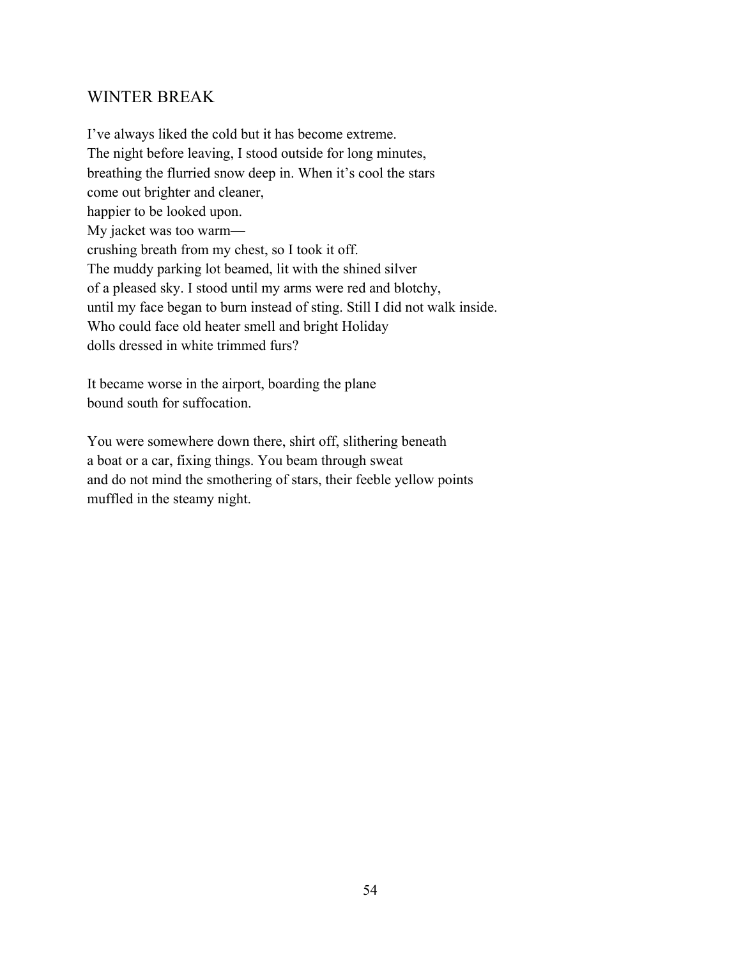## WINTER BREAK

I've always liked the cold but it has become extreme. The night before leaving, I stood outside for long minutes, breathing the flurried snow deep in. When it's cool the stars come out brighter and cleaner, happier to be looked upon. My jacket was too warm crushing breath from my chest, so I took it off. The muddy parking lot beamed, lit with the shined silver of a pleased sky. I stood until my arms were red and blotchy, until my face began to burn instead of sting. Still I did not walk inside. Who could face old heater smell and bright Holiday dolls dressed in white trimmed furs?

It became worse in the airport, boarding the plane bound south for suffocation.

You were somewhere down there, shirt off, slithering beneath a boat or a car, fixing things. You beam through sweat and do not mind the smothering of stars, their feeble yellow points muffled in the steamy night.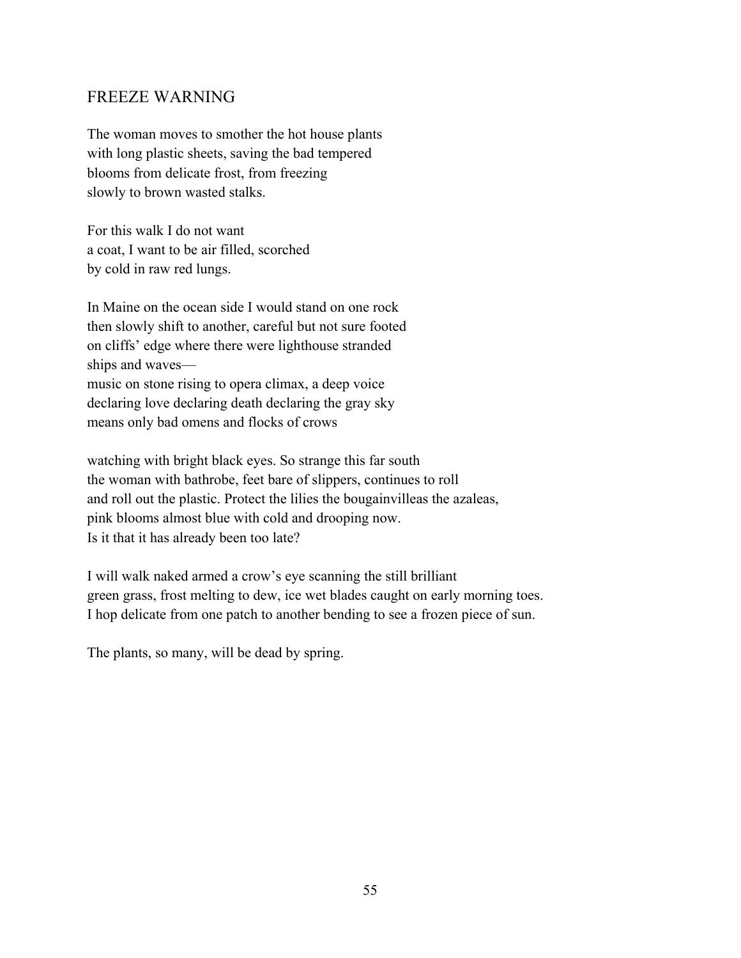## FREEZE WARNING

The woman moves to smother the hot house plants with long plastic sheets, saving the bad tempered blooms from delicate frost, from freezing slowly to brown wasted stalks.

For this walk I do not want a coat, I want to be air filled, scorched by cold in raw red lungs.

In Maine on the ocean side I would stand on one rock then slowly shift to another, careful but not sure footed on cliffs' edge where there were lighthouse stranded ships and waves music on stone rising to opera climax, a deep voice declaring love declaring death declaring the gray sky means only bad omens and flocks of crows

watching with bright black eyes. So strange this far south the woman with bathrobe, feet bare of slippers, continues to roll and roll out the plastic. Protect the lilies the bougainvilleas the azaleas, pink blooms almost blue with cold and drooping now. Is it that it has already been too late?

I will walk naked armed a crow's eye scanning the still brilliant green grass, frost melting to dew, ice wet blades caught on early morning toes. I hop delicate from one patch to another bending to see a frozen piece of sun.

The plants, so many, will be dead by spring.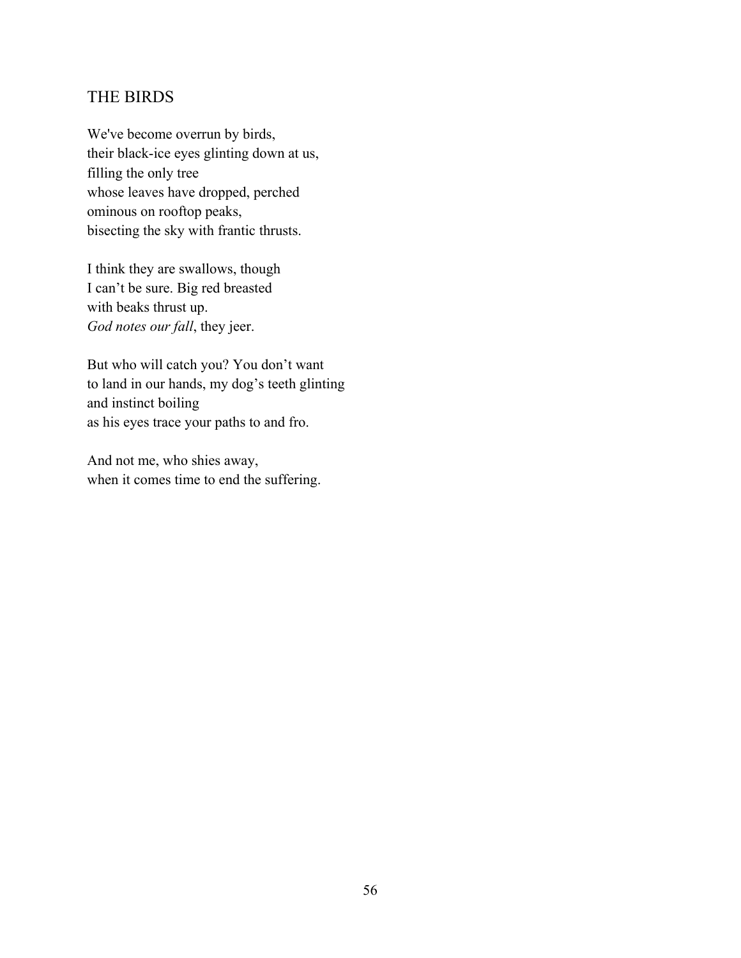## THE BIRDS

We've become overrun by birds, their black-ice eyes glinting down at us, filling the only tree whose leaves have dropped, perched ominous on rooftop peaks, bisecting the sky with frantic thrusts.

I think they are swallows, though I can't be sure. Big red breasted with beaks thrust up. *God notes our fall*, they jeer.

But who will catch you? You don't want to land in our hands, my dog's teeth glinting and instinct boiling as his eyes trace your paths to and fro.

And not me, who shies away, when it comes time to end the suffering.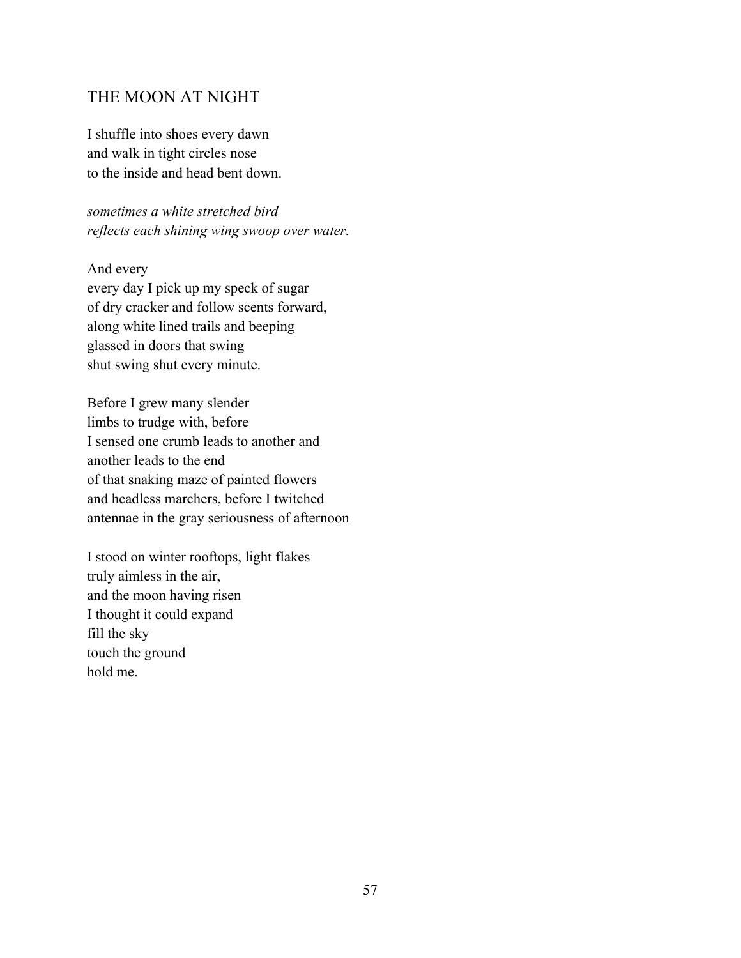## THE MOON AT NIGHT

I shuffle into shoes every dawn and walk in tight circles nose to the inside and head bent down.

*sometimes a white stretched bird reflects each shining wing swoop over water.* 

And every

every day I pick up my speck of sugar of dry cracker and follow scents forward, along white lined trails and beeping glassed in doors that swing shut swing shut every minute.

Before I grew many slender limbs to trudge with, before I sensed one crumb leads to another and another leads to the end of that snaking maze of painted flowers and headless marchers, before I twitched antennae in the gray seriousness of afternoon

I stood on winter rooftops, light flakes truly aimless in the air, and the moon having risen I thought it could expand fill the sky touch the ground hold me.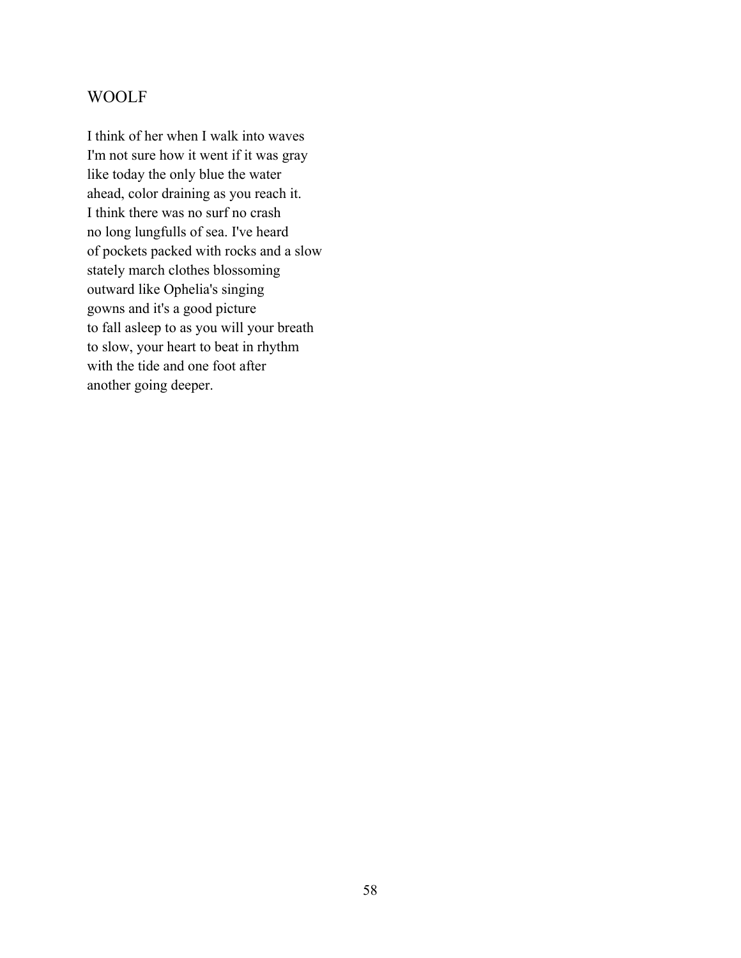# WOOLF

I think of her when I walk into waves I'm not sure how it went if it was gray like today the only blue the water ahead, color draining as you reach it. I think there was no surf no crash no long lungfulls of sea. I've heard of pockets packed with rocks and a slow stately march clothes blossoming outward like Ophelia's singing gowns and it's a good picture to fall asleep to as you will your breath to slow, your heart to beat in rhythm with the tide and one foot after another going deeper.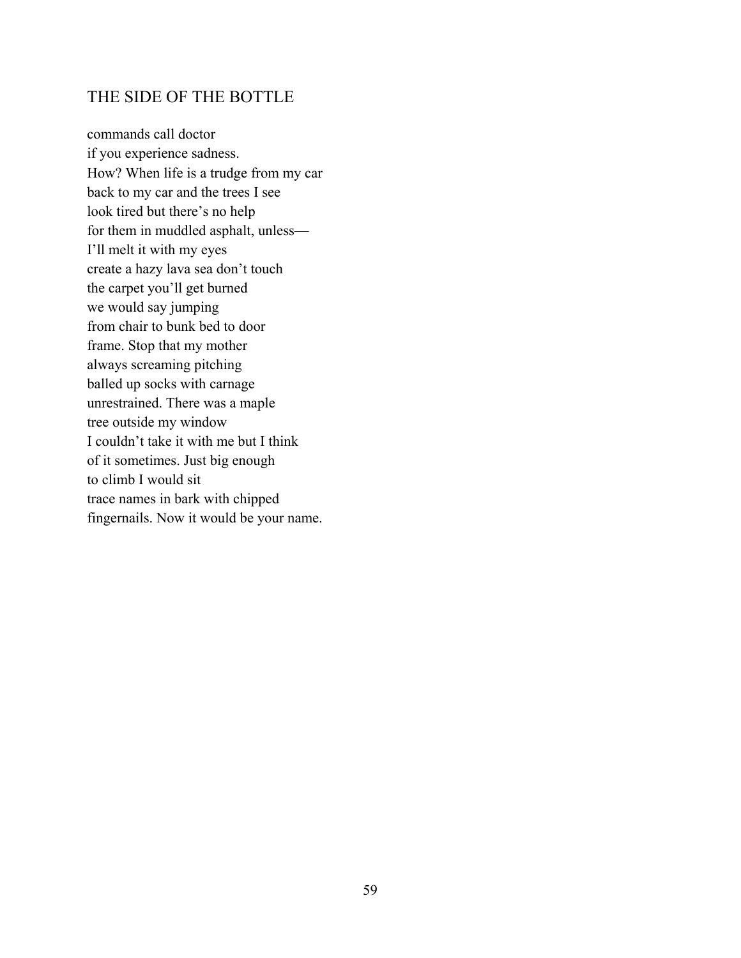## THE SIDE OF THE BOTTLE

commands call doctor if you experience sadness. How? When life is a trudge from my car back to my car and the trees I see look tired but there's no help for them in muddled asphalt, unless— I'll melt it with my eyes create a hazy lava sea don't touch the carpet you'll get burned we would say jumping from chair to bunk bed to door frame. Stop that my mother always screaming pitching balled up socks with carnage unrestrained. There was a maple tree outside my window I couldn't take it with me but I think of it sometimes. Just big enough to climb I would sit trace names in bark with chipped fingernails. Now it would be your name.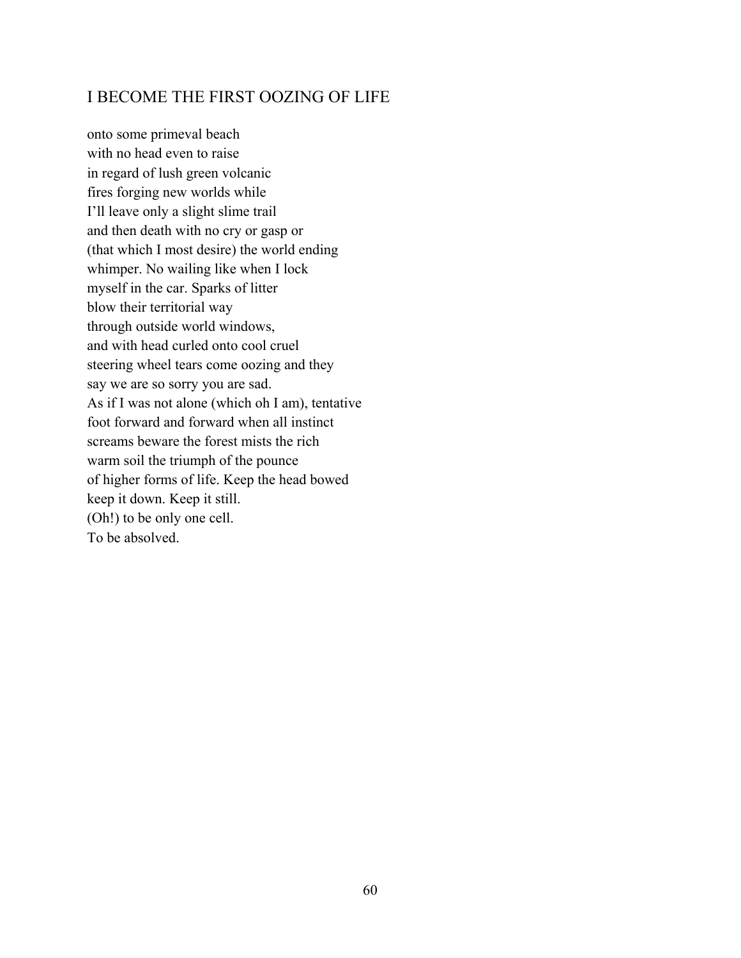## I BECOME THE FIRST OOZING OF LIFE

onto some primeval beach with no head even to raise in regard of lush green volcanic fires forging new worlds while I'll leave only a slight slime trail and then death with no cry or gasp or (that which I most desire) the world ending whimper. No wailing like when I lock myself in the car. Sparks of litter blow their territorial way through outside world windows, and with head curled onto cool cruel steering wheel tears come oozing and they say we are so sorry you are sad. As if I was not alone (which oh I am), tentative foot forward and forward when all instinct screams beware the forest mists the rich warm soil the triumph of the pounce of higher forms of life. Keep the head bowed keep it down. Keep it still. (Oh!) to be only one cell. To be absolved.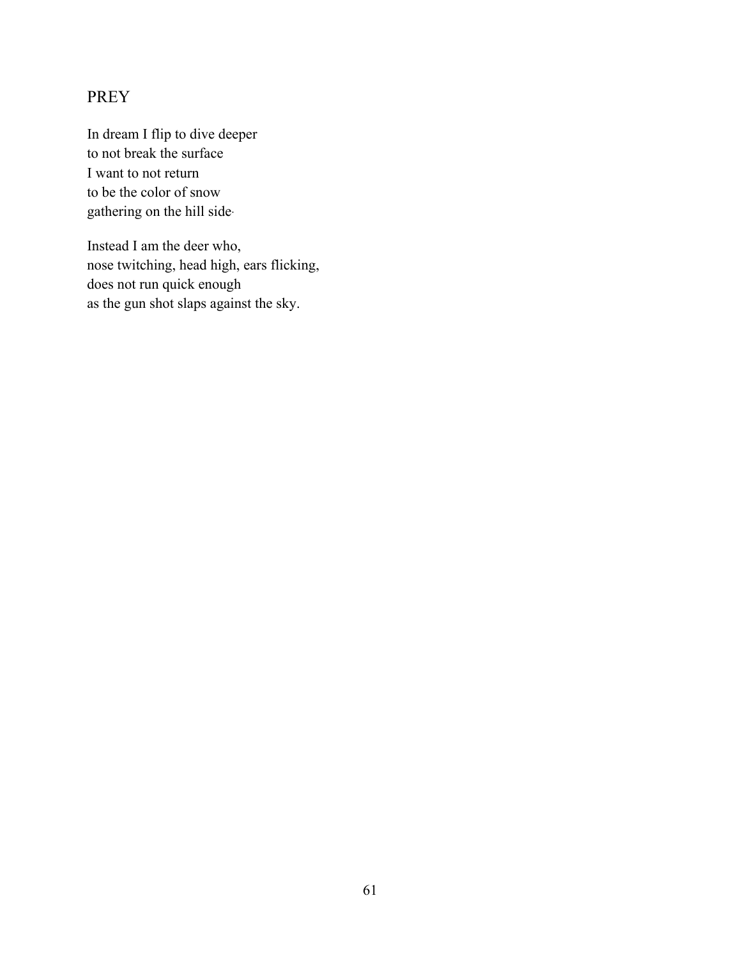# PREY

In dream I flip to dive deeper to not break the surface I want to not return to be the color of snow gathering on the hill side.

Instead I am the deer who, nose twitching, head high, ears flicking, does not run quick enough as the gun shot slaps against the sky.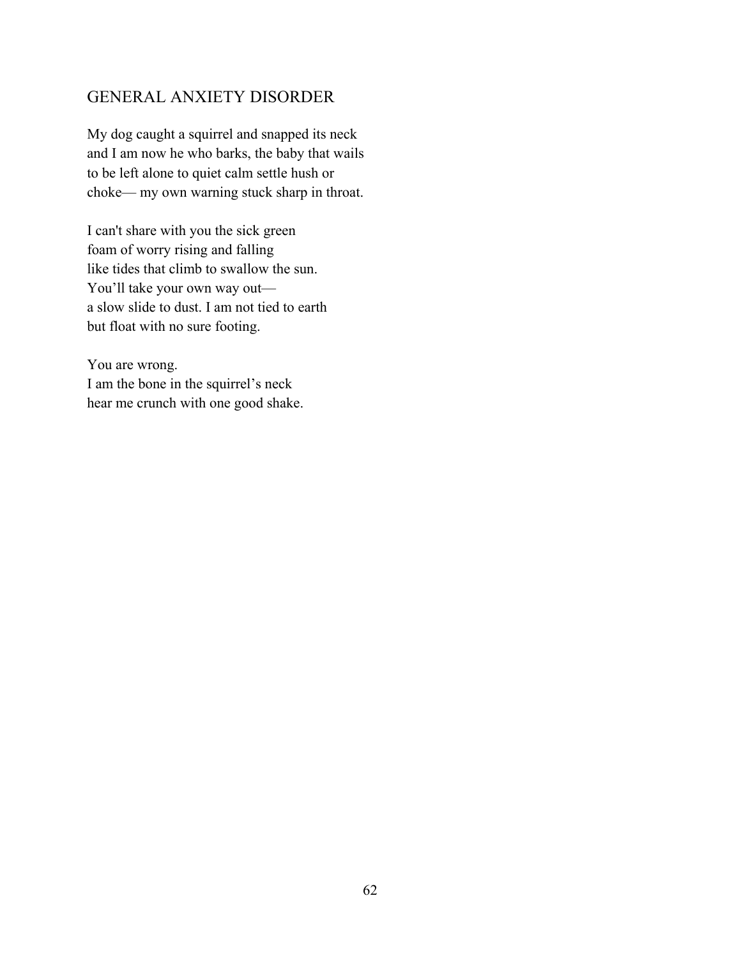## GENERAL ANXIETY DISORDER

My dog caught a squirrel and snapped its neck and I am now he who barks, the baby that wails to be left alone to quiet calm settle hush or choke— my own warning stuck sharp in throat.

I can't share with you the sick green foam of worry rising and falling like tides that climb to swallow the sun. You'll take your own way out a slow slide to dust. I am not tied to earth but float with no sure footing.

You are wrong. I am the bone in the squirrel's neck hear me crunch with one good shake.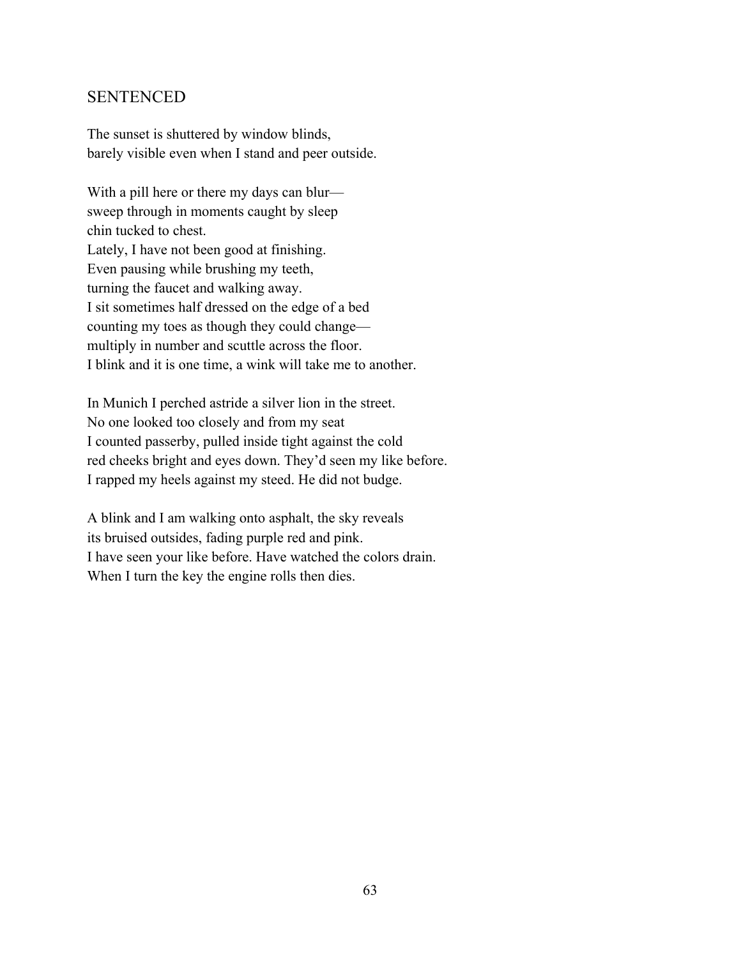## SENTENCED

The sunset is shuttered by window blinds, barely visible even when I stand and peer outside.

With a pill here or there my days can blur sweep through in moments caught by sleep chin tucked to chest. Lately, I have not been good at finishing. Even pausing while brushing my teeth, turning the faucet and walking away. I sit sometimes half dressed on the edge of a bed counting my toes as though they could change multiply in number and scuttle across the floor. I blink and it is one time, a wink will take me to another.

In Munich I perched astride a silver lion in the street. No one looked too closely and from my seat I counted passerby, pulled inside tight against the cold red cheeks bright and eyes down. They'd seen my like before. I rapped my heels against my steed. He did not budge.

A blink and I am walking onto asphalt, the sky reveals its bruised outsides, fading purple red and pink. I have seen your like before. Have watched the colors drain. When I turn the key the engine rolls then dies.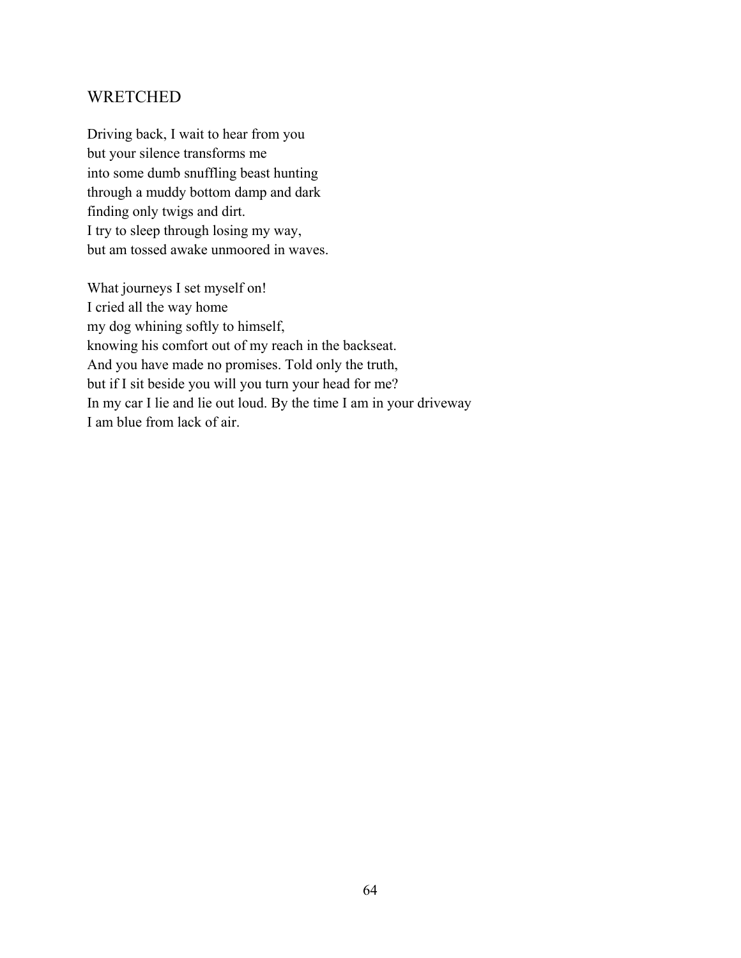## **WRETCHED**

Driving back, I wait to hear from you but your silence transforms me into some dumb snuffling beast hunting through a muddy bottom damp and dark finding only twigs and dirt. I try to sleep through losing my way, but am tossed awake unmoored in waves.

What journeys I set myself on! I cried all the way home my dog whining softly to himself, knowing his comfort out of my reach in the backseat. And you have made no promises. Told only the truth, but if I sit beside you will you turn your head for me? In my car I lie and lie out loud. By the time I am in your driveway I am blue from lack of air.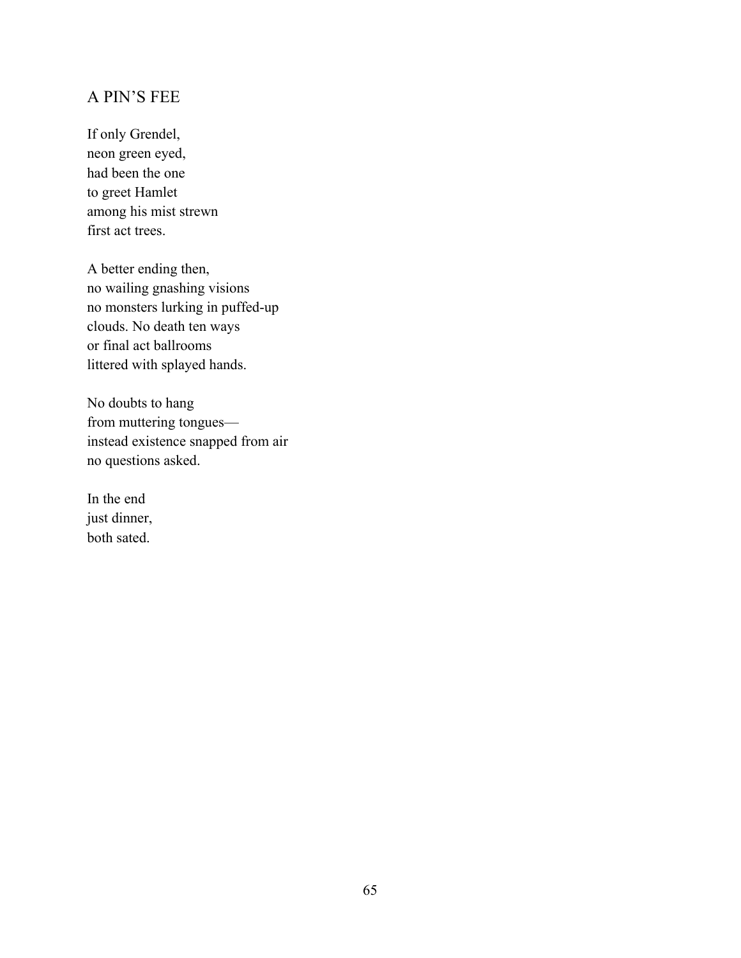# A PIN'S FEE

If only Grendel, neon green eyed, had been the one to greet Hamlet among his mist strewn first act trees.

A better ending then, no wailing gnashing visions no monsters lurking in puffed-up clouds. No death ten ways or final act ballrooms littered with splayed hands.

No doubts to hang from muttering tongues instead existence snapped from air no questions asked.

In the end just dinner, both sated.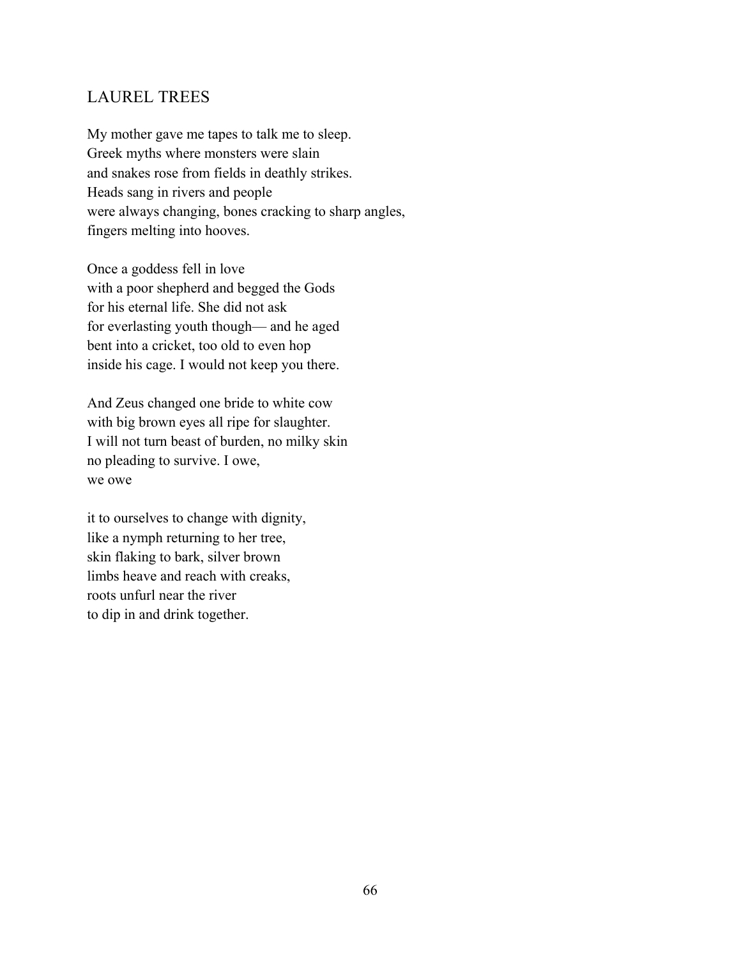#### LAUREL TREES

My mother gave me tapes to talk me to sleep. Greek myths where monsters were slain and snakes rose from fields in deathly strikes. Heads sang in rivers and people were always changing, bones cracking to sharp angles, fingers melting into hooves.

Once a goddess fell in love with a poor shepherd and begged the Gods for his eternal life. She did not ask for everlasting youth though— and he aged bent into a cricket, too old to even hop inside his cage. I would not keep you there.

And Zeus changed one bride to white cow with big brown eyes all ripe for slaughter. I will not turn beast of burden, no milky skin no pleading to survive. I owe, we owe

it to ourselves to change with dignity, like a nymph returning to her tree, skin flaking to bark, silver brown limbs heave and reach with creaks, roots unfurl near the river to dip in and drink together.